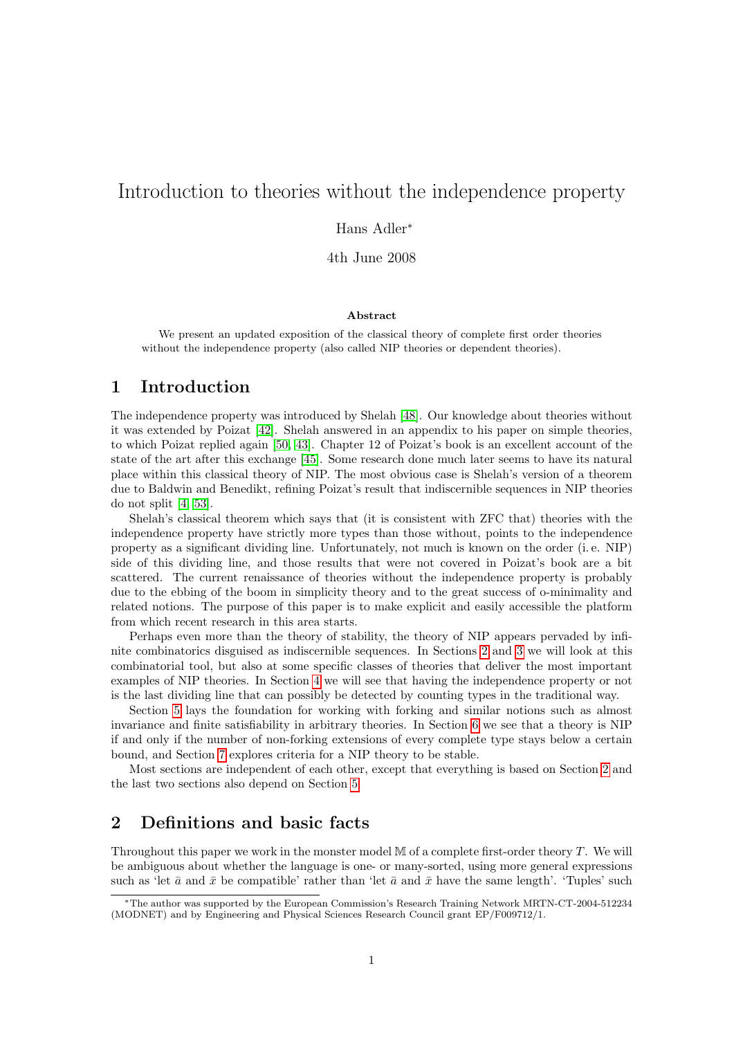# Introduction to theories without the independence property

Hans Adler<sup>∗</sup>

4th June 2008

#### Abstract

We present an updated exposition of the classical theory of complete first order theories without the independence property (also called NIP theories or dependent theories).

## 1 Introduction

The independence property was introduced by Shelah [\[48\]](#page-22-0). Our knowledge about theories without it was extended by Poizat [\[42\]](#page-22-1). Shelah answered in an appendix to his paper on simple theories, to which Poizat replied again [\[50,](#page-22-2) [43\]](#page-22-3). Chapter 12 of Poizat's book is an excellent account of the state of the art after this exchange [\[45\]](#page-22-4). Some research done much later seems to have its natural place within this classical theory of NIP. The most obvious case is Shelah's version of a theorem due to Baldwin and Benedikt, refining Poizat's result that indiscernible sequences in NIP theories do not split [\[4,](#page-20-0) [53\]](#page-22-5).

Shelah's classical theorem which says that (it is consistent with ZFC that) theories with the independence property have strictly more types than those without, points to the independence property as a significant dividing line. Unfortunately, not much is known on the order (i. e. NIP) side of this dividing line, and those results that were not covered in Poizat's book are a bit scattered. The current renaissance of theories without the independence property is probably due to the ebbing of the boom in simplicity theory and to the great success of o-minimality and related notions. The purpose of this paper is to make explicit and easily accessible the platform from which recent research in this area starts.

Perhaps even more than the theory of stability, the theory of NIP appears pervaded by infinite combinatorics disguised as indiscernible sequences. In Sections [2](#page-0-0) and [3](#page-5-0) we will look at this combinatorial tool, but also at some specific classes of theories that deliver the most important examples of NIP theories. In Section [4](#page-9-0) we will see that having the independence property or not is the last dividing line that can possibly be detected by counting types in the traditional way.

Section [5](#page-10-0) lays the foundation for working with forking and similar notions such as almost invariance and finite satisfiability in arbitrary theories. In Section [6](#page-15-0) we see that a theory is NIP if and only if the number of non-forking extensions of every complete type stays below a certain bound, and Section [7](#page-17-0) explores criteria for a NIP theory to be stable.

Most sections are independent of each other, except that everything is based on Section [2](#page-0-0) and the last two sections also depend on Section [5.](#page-10-0)

# <span id="page-0-0"></span>2 Definitions and basic facts

Throughout this paper we work in the monster model M of a complete first-order theory T. We will be ambiguous about whether the language is one- or many-sorted, using more general expressions such as 'let  $\bar{a}$  and  $\bar{x}$  be compatible' rather than 'let  $\bar{a}$  and  $\bar{x}$  have the same length'. 'Tuples' such

<sup>∗</sup>The author was supported by the European Commission's Research Training Network MRTN-CT-2004-512234 (MODNET) and by Engineering and Physical Sciences Research Council grant EP/F009712/1.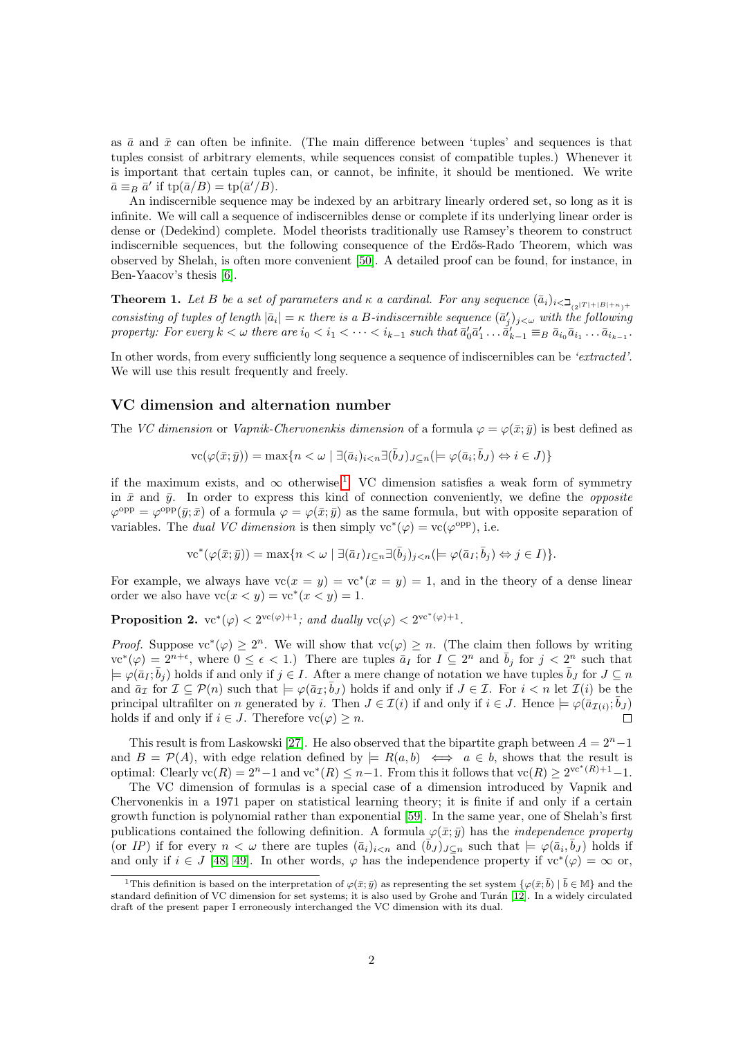as  $\bar{a}$  and  $\bar{x}$  can often be infinite. (The main difference between 'tuples' and sequences is that tuples consist of arbitrary elements, while sequences consist of compatible tuples.) Whenever it is important that certain tuples can, or cannot, be infinite, it should be mentioned. We write  $\bar{a} \equiv_B \bar{a}'$  if  $\text{tp}(\bar{a}/B) = \text{tp}(\bar{a}'/B)$ .

An indiscernible sequence may be indexed by an arbitrary linearly ordered set, so long as it is infinite. We will call a sequence of indiscernibles dense or complete if its underlying linear order is dense or (Dedekind) complete. Model theorists traditionally use Ramsey's theorem to construct indiscernible sequences, but the following consequence of the Erdős-Rado Theorem, which was observed by Shelah, is often more convenient [\[50\]](#page-22-2). A detailed proof can be found, for instance, in Ben-Yaacov's thesis [\[6\]](#page-20-1).

**Theorem 1.** Let B be a set of parameters and  $\kappa$  a cardinal. For any sequence  $(\bar{a}_i)_{i \leq \sum_{(2^{|T|}+|B|+\kappa)+1}}$ consisting of tuples of length  $|\bar{a}_i| = \kappa$  there is a B-indiscernible sequence  $(\bar{a}'_j)_{j<\omega}$  with the following property: For every  $k < \omega$  there are  $i_0 < i_1 < \cdots < i_{k-1}$  such that  $\bar{a}'_0 \bar{a}'_1 \ldots \bar{a}'_{k-1} \equiv_B \bar{a}_{i_0} \bar{a}_{i_1} \ldots \bar{a}_{i_{k-1}}$ .

In other words, from every sufficiently long sequence a sequence of indiscernibles can be 'extracted'. We will use this result frequently and freely.

#### VC dimension and alternation number

The VC dimension or Vapnik-Chervonenkis dimension of a formula  $\varphi = \varphi(\bar{x}; \bar{y})$  is best defined as

$$
\text{vc}(\varphi(\bar{x};\bar{y})) = \max\{n < \omega \mid \exists (\bar{a}_i)_{i < n} \exists (\bar{b}_J)_{J \subseteq n} \middle(\models \varphi(\bar{a}_i; \bar{b}_J) \Leftrightarrow i \in J)\}
$$

if the maximum exists, and  $\infty$  otherwise.<sup>[1](#page-1-0)</sup> VC dimension satisfies a weak form of symmetry in  $\bar{x}$  and  $\bar{y}$ . In order to express this kind of connection conveniently, we define the *opposite*  $\varphi^{\text{opp}} = \varphi^{\text{opp}}(\bar{y};\bar{x})$  of a formula  $\varphi = \varphi(\bar{x};\bar{y})$  as the same formula, but with opposite separation of variables. The *dual VC* dimension is then simply  $vc^*(\varphi) = vc(\varphi^{opp})$ , i.e.

$$
\mathrm{vc}^*(\varphi(\bar{x};\bar{y})) = \max\{n < \omega \mid \exists (\bar{a}_I)_{I \subseteq n} \exists (\bar{b}_j)_{j < n} (\models \varphi(\bar{a}_I; \bar{b}_j) \Leftrightarrow j \in I)\}.
$$

For example, we always have  $vc(x = y) = vc*(x = y) = 1$ , and in the theory of a dense linear order we also have  $vc(x < y) = vc*(x < y) = 1$ .

<span id="page-1-1"></span>**Proposition 2.**  $vc^*(\varphi) < 2^{vc(\varphi)+1}$ ; and dually  $vc(\varphi) < 2^{vc^*(\varphi)+1}$ .

*Proof.* Suppose  $vc^*(\varphi) \geq 2^n$ . We will show that  $vc(\varphi) \geq n$ . (The claim then follows by writing  $\text{vec}^*(\varphi) = 2^{n+\epsilon}$ , where  $0 \leq \epsilon < 1$ .) There are tuples  $\bar{a}_I$  for  $I \subseteq 2^n$  and  $\bar{b}_j$  for  $j < 2^n$  such that  $\models \varphi(\bar{a}_I;\bar{b}_j)$  holds if and only if  $j \in I$ . After a mere change of notation we have tuples  $\bar{b}_J$  for  $J \subseteq n$ and  $\bar{a}_{\mathcal{I}}$  for  $\mathcal{I} \subseteq \mathcal{P}(n)$  such that  $\models \varphi(\bar{a}_{\mathcal{I}};\bar{b}_{J})$  holds if and only if  $J \in \mathcal{I}$ . For  $i < n$  let  $\mathcal{I}(i)$  be the principal ultrafilter on n generated by i. Then  $J \in \mathcal{I}(i)$  if and only if  $i \in J$ . Hence  $\models \varphi(\bar{a}_{\mathcal{I}(i)};\bar{b}_J)$ holds if and only if  $i \in J$ . Therefore  $vc(\varphi) \geq n$ .  $\Box$ 

This result is from Laskowski [\[27\]](#page-21-0). He also observed that the bipartite graph between  $A = 2<sup>n</sup> - 1$ and  $B = \mathcal{P}(A)$ , with edge relation defined by  $\models R(a, b) \iff a \in b$ , shows that the result is optimal: Clearly  $\text{vc}(R) = 2^n - 1$  and  $\text{vc}^*(R) \leq n - 1$ . From this it follows that  $\text{vc}(R) \geq 2^{\text{vc}^*(R)+1} - 1$ .

The VC dimension of formulas is a special case of a dimension introduced by Vapnik and Chervonenkis in a 1971 paper on statistical learning theory; it is finite if and only if a certain growth function is polynomial rather than exponential [\[59\]](#page-23-0). In the same year, one of Shelah's first publications contained the following definition. A formula  $\varphi(\bar{x}; \bar{y})$  has the *independence property* (or IP) if for every  $n < \omega$  there are tuples  $(\bar{a}_i)_{i \leq n}$  and  $(\bar{b}_J)_{J \subseteq n}$  such that  $\models \varphi(\bar{a}_i, \bar{b}_J)$  holds if and only if  $i \in J$  [\[48,](#page-22-0) [49\]](#page-22-6). In other words,  $\varphi$  has the independence property if  $vc^*(\varphi) = \infty$  or,

<span id="page-1-0"></span><sup>&</sup>lt;sup>1</sup>This definition is based on the interpretation of  $\varphi(\bar{x}; \bar{y})$  as representing the set system  $\{\varphi(\bar{x}; \bar{b}) \mid \bar{b} \in M\}$  and the standard definition of VC dimension for set systems; it is also used by Grohe and Turán [\[12\]](#page-21-1). In a widely circulated draft of the present paper I erroneously interchanged the VC dimension with its dual.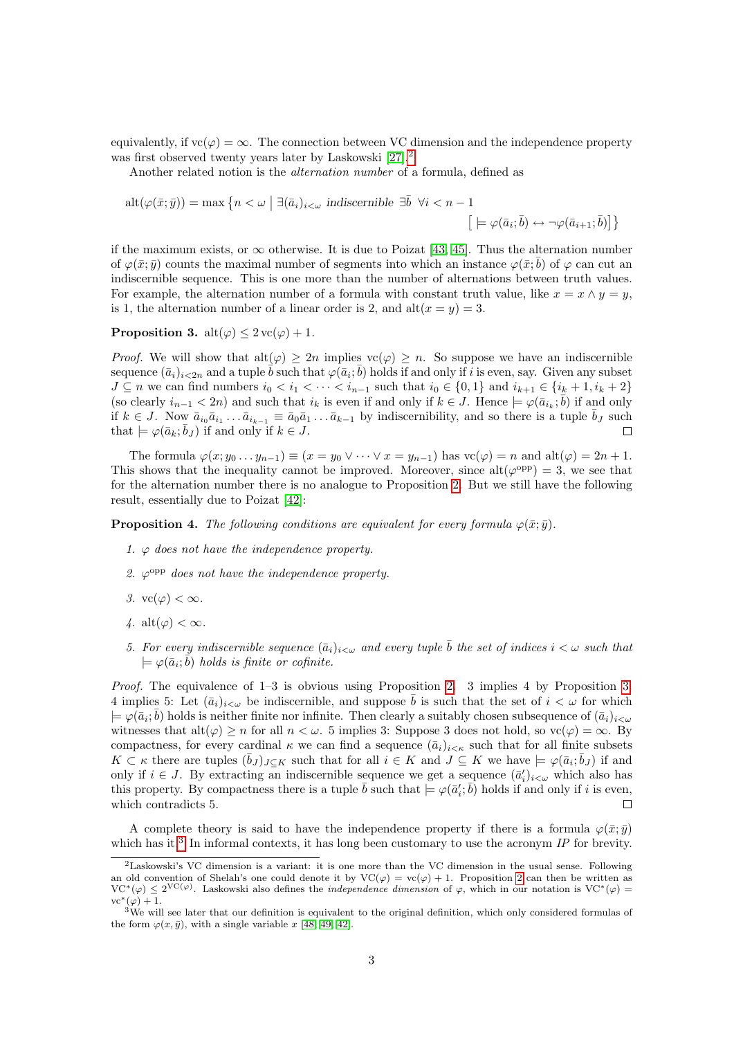equivalently, if  $vc(\varphi) = \infty$ . The connection between VC dimension and the independence property was first observed twenty years later by Laskowski [\[27\]](#page-21-0).<sup>[2](#page-2-0)</sup>

Another related notion is the alternation number of a formula, defined as

$$
alt(\varphi(\bar{x};\bar{y})) = \max\left\{n < \omega \mid \exists (\bar{a}_i)_{i<\omega} \text{ indiscernible } \exists \bar{b} \ \forall i< n-1 \right\}
$$
\n
$$
\left[ \models \varphi(\bar{a}_i; \bar{b}) \leftrightarrow \neg \varphi(\bar{a}_{i+1}; \bar{b}) \right] \right\}
$$

if the maximum exists, or  $\infty$  otherwise. It is due to Poizat [\[43,](#page-22-3) [45\]](#page-22-4). Thus the alternation number of  $\varphi(\bar{x}; \bar{y})$  counts the maximal number of segments into which an instance  $\varphi(\bar{x}; \bar{b})$  of  $\varphi$  can cut an indiscernible sequence. This is one more than the number of alternations between truth values. For example, the alternation number of a formula with constant truth value, like  $x = x \wedge y = y$ , is 1, the alternation number of a linear order is 2, and  $alt(x = y) = 3$ .

### <span id="page-2-1"></span>**Proposition 3.** alt $(\varphi) < 2 \text{ vc}(\varphi) + 1$ .

*Proof.* We will show that  $alt(\varphi) \geq 2n$  implies  $vc(\varphi) \geq n$ . So suppose we have an indiscernible sequence  $(\bar{a}_i)_{i\leq 2n}$  and a tuple  $\bar{b}$  such that  $\varphi(\bar{a}_i;\bar{b})$  holds if and only if i is even, say. Given any subset  $J \subseteq n$  we can find numbers  $i_0 < i_1 < \cdots < i_{n-1}$  such that  $i_0 \in \{0,1\}$  and  $i_{k+1} \in \{i_k+1, i_k+2\}$ (so clearly  $i_{n-1} < 2n$ ) and such that  $i_k$  is even if and only if  $k \in J$ . Hence  $\models \varphi(\bar{a}_{i_k}; \bar{b})$  if and only if  $k \in J$ . Now  $\bar{a}_{i_0} \bar{a}_{i_1} \ldots \bar{a}_{i_{k-1}} \equiv \bar{a}_0 \bar{a}_1 \ldots \bar{a}_{k-1}$  by indiscernibility, and so there is a tuple  $\bar{b}_J$  such that  $\models \varphi(\bar{a}_k; \bar{b}_J)$  if and only if  $k \in J$ .  $\Box$ 

The formula  $\varphi(x; y_0 \ldots y_{n-1}) \equiv (x = y_0 \vee \cdots \vee x = y_{n-1})$  has  $\text{vc}(\varphi) = n$  and  $\text{alt}(\varphi) = 2n + 1$ . This shows that the inequality cannot be improved. Moreover, since  $alt(\varphi^{opp}) = 3$ , we see that for the alternation number there is no analogue to Proposition [2.](#page-1-1) But we still have the following result, essentially due to Poizat [\[42\]](#page-22-1):

<span id="page-2-3"></span>**Proposition 4.** The following conditions are equivalent for every formula  $\varphi(\bar{x}; \bar{y})$ .

- 1.  $\varphi$  does not have the independence property.
- 2.  $\varphi^{\text{opp}}$  does not have the independence property.
- 3.  $vc(\varphi) < \infty$ .
- 4. alt $(\varphi) < \infty$ .
- 5. For every indiscernible sequence  $(\bar{a}_i)_{i<\omega}$  and every tuple  $\bar{b}$  the set of indices  $i<\omega$  such that  $\models \varphi(\bar a_i;\bar b)$  holds is finite or cofinite.

Proof. The equivalence of 1–3 is obvious using Proposition [2.](#page-1-1) 3 implies 4 by Proposition [3.](#page-2-1) 4 implies 5: Let  $(\bar{a}_i)_{i\leq \omega}$  be indiscernible, and suppose  $\bar{b}$  is such that the set of  $i < \omega$  for which  $\models \varphi(\bar{a}_i;\bar{b})$  holds is neither finite nor infinite. Then clearly a suitably chosen subsequence of  $(\bar{a}_i)_{i<\omega}$ witnesses that  $\text{alt}(\varphi) \geq n$  for all  $n < \omega$ . 5 implies 3: Suppose 3 does not hold, so  $\text{vc}(\varphi) = \infty$ . By compactness, for every cardinal  $\kappa$  we can find a sequence  $(\bar{a}_i)_{i<\kappa}$  such that for all finite subsets  $K \subset \kappa$  there are tuples  $(\bar{b}_J)_{J \subset K}$  such that for all  $i \in K$  and  $J \subseteq K$  we have  $\models \varphi(\bar{a}_i; \bar{b}_J)$  if and only if  $i \in J$ . By extracting an indiscernible sequence we get a sequence  $(\bar{a}'_i)_{i \leq \omega}$  which also has this property. By compactness there is a tuple  $\bar{b}$  such that  $\models \varphi(\bar{a}'_i;\bar{b})$  holds if and only if i is even, which contradicts 5.  $\Box$ 

A complete theory is said to have the independence property if there is a formula  $\varphi(\bar{x}; \bar{y})$ which has it.<sup>[3](#page-2-2)</sup> In informal contexts, it has long been customary to use the acronym  $IP$  for brevity.

<span id="page-2-0"></span><sup>2</sup>Laskowski's VC dimension is a variant: it is one more than the VC dimension in the usual sense. Following an old convention of Shelah's one could denote it by  $VC(\varphi) = vc(\varphi) + 1$ . Proposition [2](#page-1-1) can then be written as  $VC^*(\varphi) \leq 2^{VC(\varphi)}$ . Laskowski also defines the *independence dimension* of  $\varphi$ , which in our notation is  $VC^*(\varphi)$  $vc^*(\varphi)+1.$ 

<span id="page-2-2"></span> $3$ We will see later that our definition is equivalent to the original definition, which only considered formulas of the form  $\varphi(x,\bar{y})$ , with a single variable x [\[48,](#page-22-0) [49,](#page-22-6) [42\]](#page-22-1).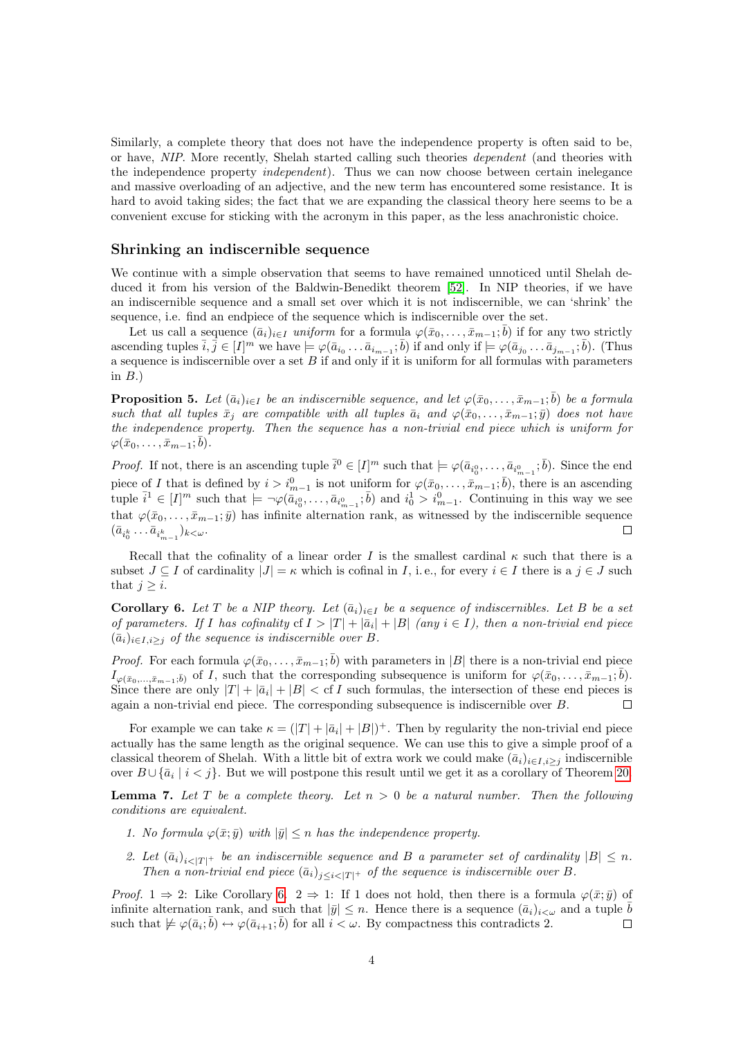Similarly, a complete theory that does not have the independence property is often said to be, or have, NIP. More recently, Shelah started calling such theories dependent (and theories with the independence property independent). Thus we can now choose between certain inelegance and massive overloading of an adjective, and the new term has encountered some resistance. It is hard to avoid taking sides; the fact that we are expanding the classical theory here seems to be a convenient excuse for sticking with the acronym in this paper, as the less anachronistic choice.

#### Shrinking an indiscernible sequence

We continue with a simple observation that seems to have remained unnoticed until Shelah deduced it from his version of the Baldwin-Benedikt theorem [\[52\]](#page-22-7). In NIP theories, if we have an indiscernible sequence and a small set over which it is not indiscernible, we can 'shrink' the sequence, i.e. find an endpiece of the sequence which is indiscernible over the set.

Let us call a sequence  $(\bar{a}_i)_{i \in I}$  uniform for a formula  $\varphi(\bar{x}_0, \ldots, \bar{x}_{m-1}; \bar{b})$  if for any two strictly ascending tuples  $\overline{i}, \overline{j} \in [I]^m$  we have  $\models \varphi(\overline{a}_{i_0} \ldots \overline{a}_{i_{m-1}}; \overline{b})$  if and only if  $\models \varphi(\overline{a}_{j_0} \ldots \overline{a}_{j_{m-1}}; \overline{b})$ . (Thus a sequence is indiscernible over a set  $B$  if and only if it is uniform for all formulas with parameters in  $B$ .)

<span id="page-3-1"></span>**Proposition 5.** Let  $(\bar{a}_i)_{i\in I}$  be an indiscernible sequence, and let  $\varphi(\bar{x}_0,\ldots,\bar{x}_{m-1};\bar{b})$  be a formula such that all tuples  $\bar{x}_j$  are compatible with all tuples  $\bar{a}_i$  and  $\varphi(\bar{x}_0, \ldots, \bar{x}_{m-1}; \bar{y})$  does not have the independence property. Then the sequence has a non-trivial end piece which is uniform for  $\varphi(\bar{x}_0,\ldots,\bar{x}_{m-1};\bar{b}).$ 

*Proof.* If not, there is an ascending tuple  $\bar{i}^0 \in [I]^m$  such that  $\models \varphi(\bar{a}_{i_0^0}, \ldots, \bar{a}_{i_{m-1}^0}; \bar{b})$ . Since the end piece of I that is defined by  $i > i_{m-1}^0$  is not uniform for  $\varphi(\bar{x}_0, \ldots, \bar{x}_{m-1}; \bar{b})$ , there is an ascending tuple  $\bar{i}^1 \in [I]^m$  such that  $\models \neg \varphi(\bar{a}_{i_0^0}, \ldots, \bar{a}_{i_{m-1}^0}; \bar{b})$  and  $i_0^1 > i_{m-1}^0$ . Continuing in this way we see that  $\varphi(\bar{x}_0,\ldots,\bar{x}_{m-1};\bar{y})$  has infinite alternation rank, as witnessed by the indiscernible sequence  $(\bar{a}_{i_0^k}\ldots \bar{a}_{i_{m-1}^k})_{k\lt\omega}.$  $\Box$ 

Recall that the cofinality of a linear order I is the smallest cardinal  $\kappa$  such that there is a subset  $J \subseteq I$  of cardinality  $|J| = \kappa$  which is cofinal in I, i.e., for every  $i \in I$  there is a  $j \in J$  such that  $j \geq i$ .

<span id="page-3-0"></span>**Corollary 6.** Let T be a NIP theory. Let  $(\bar{a}_i)_{i\in I}$  be a sequence of indiscernibles. Let B be a set of parameters. If I has cofinality cf  $I > |T| + |\bar{a}_i| + |B|$  (any  $i \in I$ ), then a non-trivial end piece  $(\bar{a}_i)_{i\in I,i\geq j}$  of the sequence is indiscernible over B.

*Proof.* For each formula  $\varphi(\bar{x}_0,\ldots,\bar{x}_{m-1};\bar{b})$  with parameters in |B| there is a non-trivial end piece  $I_{\varphi(\bar{x}_0,\ldots,\bar{x}_{m-1};\bar{b})}$  of I, such that the corresponding subsequence is uniform for  $\varphi(\bar{x}_0,\ldots,\bar{x}_{m-1};\bar{b})$ . Since there are only  $|T| + |\bar{a}_i| + |B| < \text{cf } I$  such formulas, the intersection of these end pieces is again a non-trivial end piece. The corresponding subsequence is indiscernible over B.  $\Box$ 

For example we can take  $\kappa = (|T| + |\bar{a}_i| + |B|)^+$ . Then by regularity the non-trivial end piece actually has the same length as the original sequence. We can use this to give a simple proof of a classical theorem of Shelah. With a little bit of extra work we could make  $(\bar{a}_i)_{i\in I,i>i}$  indiscernible over  $B \cup \{\bar{a}_i \mid i < j\}$ . But we will postpone this result until we get it as a corollary of Theorem [20.](#page-8-0)

**Lemma 7.** Let T be a complete theory. Let  $n > 0$  be a natural number. Then the following conditions are equivalent.

- 1. No formula  $\varphi(\bar{x}; \bar{y})$  with  $|\bar{y}| \leq n$  has the independence property.
- 2. Let  $(\bar{a}_i)_{i \leq |T|^+}$  be an indiscernible sequence and B a parameter set of cardinality  $|B| \leq n$ . Then a non-trivial end piece  $(\bar{a}_i)_{i \leq i \leq |T|}$  of the sequence is indiscernible over B.

*Proof.* 1  $\Rightarrow$  2: Like Corollary [6.](#page-3-0) 2  $\Rightarrow$  1: If 1 does not hold, then there is a formula  $\varphi(\bar{x}; \bar{y})$  of infinite alternation rank, and such that  $|\bar{y}| \leq n$ . Hence there is a sequence  $(\bar{a}_i)_{i \leq \omega}$  and a tuple b such that  $\not\models \varphi(\bar{a}_i;\bar{b}) \leftrightarrow \varphi(\bar{a}_{i+1};\bar{b})$  for all  $i < \omega$ . By compactness this contradicts 2.  $\Box$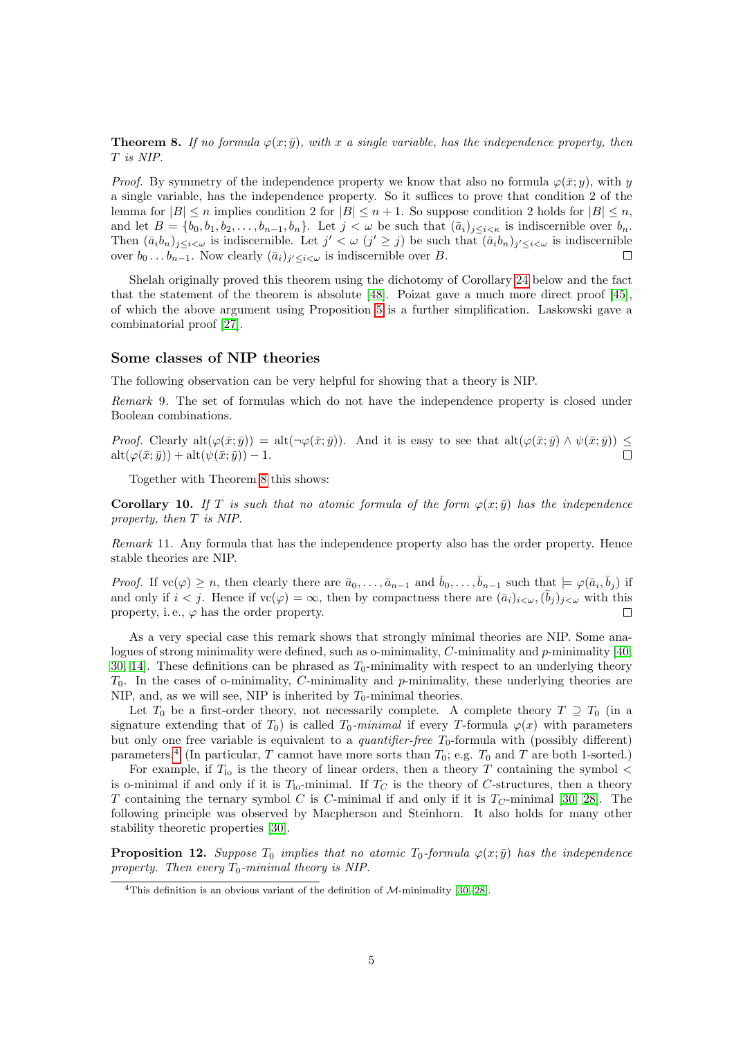<span id="page-4-0"></span>**Theorem 8.** If no formula  $\varphi(x; \bar{y})$ , with x a single variable, has the independence property, then T is NIP.

*Proof.* By symmetry of the independence property we know that also no formula  $\varphi(\bar{x}; y)$ , with y a single variable, has the independence property. So it suffices to prove that condition 2 of the lemma for  $|B| \le n$  implies condition 2 for  $|B| \le n + 1$ . So suppose condition 2 holds for  $|B| \le n$ , and let  $B = \{b_0, b_1, b_2, \ldots, b_{n-1}, b_n\}$ . Let  $j < \omega$  be such that  $(\bar{a}_i)_{i \leq i \leq \kappa}$  is indiscernible over  $b_n$ . Then  $(\bar{a}_i b_n)_{j \leq i < \omega}$  is indiscernible. Let  $j' < \omega$   $(j' \geq j)$  be such that  $(\bar{a}_i b_n)_{j' \leq i < \omega}$  is indiscernible over  $b_0 \dots b_{n-1}$ . Now clearly  $(\bar{a}_i)_{j' \leq i \leq \omega}$  is indiscernible over B.  $\Box$ 

Shelah originally proved this theorem using the dichotomy of Corollary [24](#page-10-1) below and the fact that the statement of the theorem is absolute [\[48\]](#page-22-0). Poizat gave a much more direct proof [\[45\]](#page-22-4), of which the above argument using Proposition [5](#page-3-1) is a further simplification. Laskowski gave a combinatorial proof [\[27\]](#page-21-0).

#### Some classes of NIP theories

The following observation can be very helpful for showing that a theory is NIP.

Remark 9. The set of formulas which do not have the independence property is closed under Boolean combinations.

Proof. Clearly  $alt(\varphi(\bar{x}; \bar{y})) = alt(\neg \varphi(\bar{x}; \bar{y}))$ . And it is easy to see that  $alt(\varphi(\bar{x}; \bar{y}) \wedge \psi(\bar{x}; \bar{y})) \leq$  $\mathrm{alt}(\varphi(\bar{x};\bar{y})) + \mathrm{alt}(\psi(\bar{x};\bar{y})) - 1.$ 

Together with Theorem [8](#page-4-0) this shows:

**Corollary 10.** If T is such that no atomic formula of the form  $\varphi(x; \bar{y})$  has the independence property, then T is NIP.

Remark 11. Any formula that has the independence property also has the order property. Hence stable theories are NIP.

*Proof.* If  $vc(\varphi) \geq n$ , then clearly there are  $\bar{a}_0, \ldots, \bar{a}_{n-1}$  and  $\bar{b}_0, \ldots, \bar{b}_{n-1}$  such that  $\models \varphi(\bar{a}_i, \bar{b}_j)$  if and only if  $i < j$ . Hence if  $vc(\varphi) = \infty$ , then by compactness there are  $(\bar{a}_i)_{i < \omega}, (\bar{b}_j)_{j < \omega}$  with this property, i.e.,  $\varphi$  has the order property.  $\Box$ 

As a very special case this remark shows that strongly minimal theories are NIP. Some analogues of strong minimality were defined, such as o-minimality,  $C$ -minimality and  $p$ -minimality [\[40,](#page-22-8) [30,](#page-21-2) 14. These definitions can be phrased as  $T_0$ -minimality with respect to an underlying theory  $T_0$ . In the cases of o-minimality, C-minimality and p-minimality, these underlying theories are NIP, and, as we will see, NIP is inherited by  $T_0$ -minimal theories.

Let  $T_0$  be a first-order theory, not necessarily complete. A complete theory  $T \supseteq T_0$  (in a signature extending that of  $T_0$ ) is called  $T_0$ -minimal if every T-formula  $\varphi(x)$  with parameters but only one free variable is equivalent to a *quantifier-free*  $T_0$ -formula with (possibly different) parameters.<sup>[4](#page-4-1)</sup> (In particular, T cannot have more sorts than  $T_0$ ; e.g.  $T_0$  and T are both 1-sorted.)

For example, if  $T_{\text{lo}}$  is the theory of linear orders, then a theory T containing the symbol  $\lt$ is o-minimal if and only if it is  $T_0$ -minimal. If  $T_C$  is the theory of C-structures, then a theory T containing the ternary symbol C is C-minimal if and only if it is  $T_C$ -minimal [\[30,](#page-21-2) [28\]](#page-21-4). The following principle was observed by Macpherson and Steinhorn. It also holds for many other stability theoretic properties [\[30\]](#page-21-2).

**Proposition 12.** Suppose  $T_0$  implies that no atomic  $T_0$ -formula  $\varphi(x; \bar{y})$  has the independence property. Then every  $T_0$ -minimal theory is NIP.

<span id="page-4-1"></span><sup>&</sup>lt;sup>4</sup>This definition is an obvious variant of the definition of  $M$ -minimality [\[30,](#page-21-2) [28\]](#page-21-4).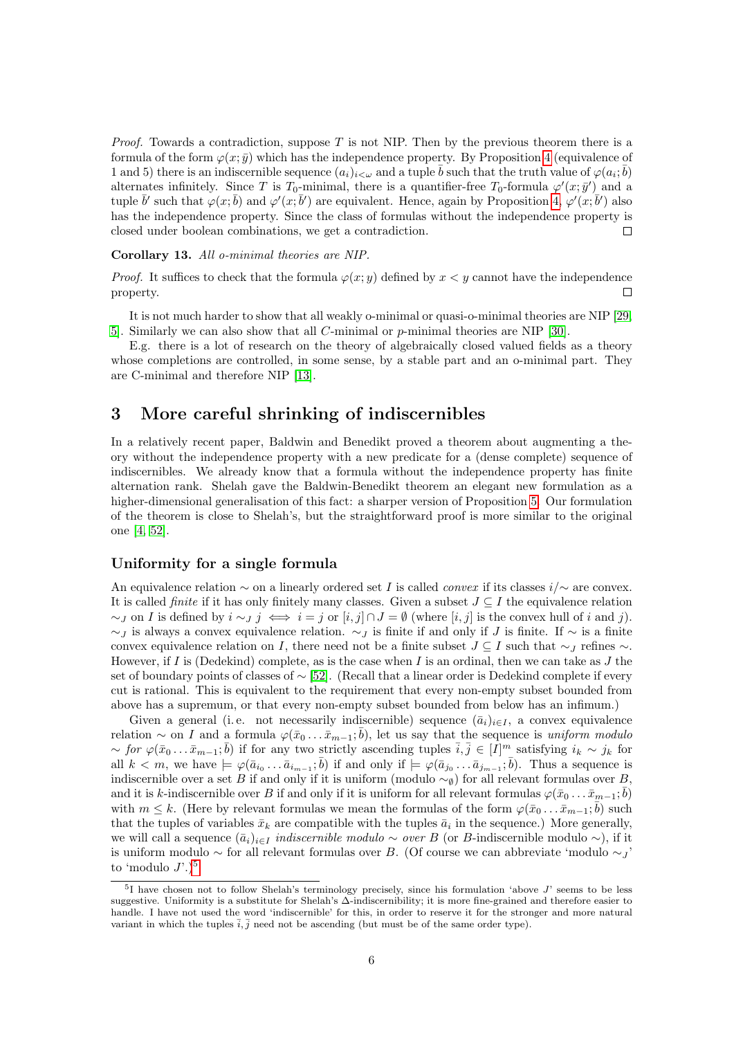*Proof.* Towards a contradiction, suppose T is not NIP. Then by the previous theorem there is a formula of the form  $\varphi(x;\bar{y})$  which has the independence property. By Proposition [4](#page-2-3) (equivalence of 1 and 5) there is an indiscernible sequence  $(a_i)_{i\leq \omega}$  and a tuple  $\bar{b}$  such that the truth value of  $\varphi(a_i;\bar{b})$ alternates infinitely. Since T is T<sub>0</sub>-minimal, there is a quantifier-free T<sub>0</sub>-formula  $\varphi'(x; \bar{y}')$  and a tuple  $\bar{b}'$  such that  $\varphi(x;\bar{b})$  and  $\varphi'(x;\bar{b}')$  are equivalent. Hence, again by Proposition [4,](#page-2-3)  $\varphi'(x;\bar{b}')$  also has the independence property. Since the class of formulas without the independence property is closed under boolean combinations, we get a contradiction.  $\Box$ 

#### Corollary 13. All o-minimal theories are NIP.

*Proof.* It suffices to check that the formula  $\varphi(x; y)$  defined by  $x \leq y$  cannot have the independence property.  $\Box$ 

It is not much harder to show that all weakly o-minimal or quasi-o-minimal theories are NIP [\[29,](#page-21-5) [5\]](#page-20-2). Similarly we can also show that all C-minimal or p-minimal theories are NIP [\[30\]](#page-21-2).

E.g. there is a lot of research on the theory of algebraically closed valued fields as a theory whose completions are controlled, in some sense, by a stable part and an o-minimal part. They are C-minimal and therefore NIP [\[13\]](#page-21-6).

## <span id="page-5-0"></span>3 More careful shrinking of indiscernibles

In a relatively recent paper, Baldwin and Benedikt proved a theorem about augmenting a theory without the independence property with a new predicate for a (dense complete) sequence of indiscernibles. We already know that a formula without the independence property has finite alternation rank. Shelah gave the Baldwin-Benedikt theorem an elegant new formulation as a higher-dimensional generalisation of this fact: a sharper version of Proposition [5.](#page-3-1) Our formulation of the theorem is close to Shelah's, but the straightforward proof is more similar to the original one [\[4,](#page-20-0) [52\]](#page-22-7).

#### Uniformity for a single formula

An equivalence relation  $\sim$  on a linearly ordered set I is called *convex* if its classes  $i/\sim$  are convex. It is called *finite* if it has only finitely many classes. Given a subset  $J \subseteq I$  the equivalence relation  $\sim$ *J* on *I* is defined by  $i \sim j \iff i = j$  or  $[i, j] \cap J = \emptyset$  (where  $[i, j]$  is the convex hull of i and j).  $\sim$ *J* is always a convex equivalence relation.  $\sim$ *J* is finite if and only if *J* is finite. If  $\sim$  is a finite convex equivalence relation on I, there need not be a finite subset  $J \subseteq I$  such that  $\sim$  refines  $\sim$ . However, if I is (Dedekind) complete, as is the case when I is an ordinal, then we can take as  $J$  the set of boundary points of classes of ∼ [\[52\]](#page-22-7). (Recall that a linear order is Dedekind complete if every cut is rational. This is equivalent to the requirement that every non-empty subset bounded from above has a supremum, or that every non-empty subset bounded from below has an infimum.)

Given a general (i.e. not necessarily indiscernible) sequence  $(\bar{a}_i)_{i\in I}$ , a convex equivalence relation ~ on I and a formula  $\varphi(\bar{x}_0 \dots \bar{x}_{m-1}; \bar{b})$ , let us say that the sequence is uniform modulo  $\sim$  for  $\varphi(\bar{x}_0 \dots \bar{x}_{m-1}; \bar{b})$  if for any two strictly ascending tuples  $\bar{i}, \bar{j} \in [I]^m$  satisfying  $i_k \sim j_k$  for all  $k < m$ , we have  $\models \varphi(\bar{a}_{i_0} \ldots \bar{a}_{i_{m-1}}; \bar{b})$  if and only if  $\models \varphi(\bar{a}_{j_0} \ldots \bar{a}_{j_{m-1}}; \bar{b})$ . Thus a sequence is indiscernible over a set B if and only if it is uniform (modulo  $\sim_{\emptyset}$ ) for all relevant formulas over B, and it is k-indiscernible over B if and only if it is uniform for all relevant formulas  $\varphi(\bar{x}_0 \dots \bar{x}_{m-1}; \bar{b})$ with  $m \leq k$ . (Here by relevant formulas we mean the formulas of the form  $\varphi(\bar{x}_0 \dots \bar{x}_{m-1}; \bar{b})$  such that the tuples of variables  $\bar{x}_k$  are compatible with the tuples  $\bar{a}_i$  in the sequence.) More generally, we will call a sequence  $(\bar{a}_i)_{i\in I}$  *indiscernible modulo ∼ over B* (or *B*-indiscernible modulo ∼), if it is uniform modulo  $\sim$  for all relevant formulas over B. (Of course we can abbreviate 'modulo  $\sim$ *j*' to 'modulo  $J'.$ <sup>[5](#page-5-1)</sup>

<span id="page-5-2"></span><span id="page-5-1"></span> $5I$  have chosen not to follow Shelah's terminology precisely, since his formulation 'above J' seems to be less suggestive. Uniformity is a substitute for Shelah's ∆-indiscernibility; it is more fine-grained and therefore easier to handle. I have not used the word 'indiscernible' for this, in order to reserve it for the stronger and more natural variant in which the tuples  $\overline{i}, \overline{j}$  need not be ascending (but must be of the same order type).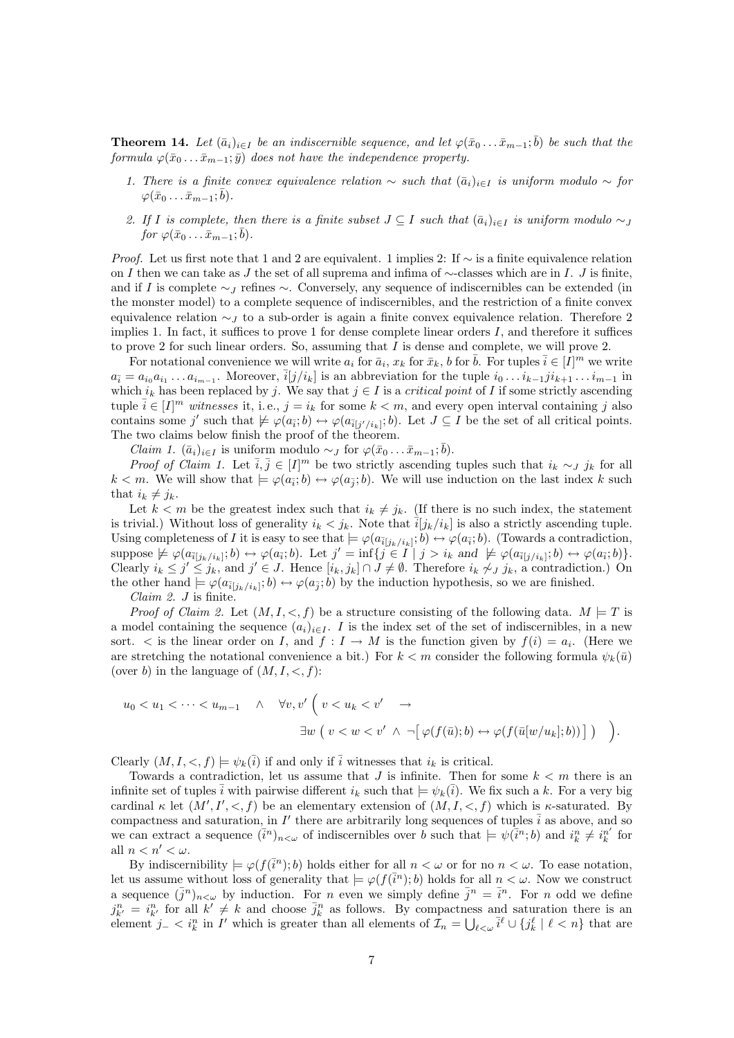**Theorem 14.** Let  $(\bar{a}_i)_{i\in I}$  be an indiscernible sequence, and let  $\varphi(\bar{x}_0 \dots \bar{x}_{m-1}; \bar{b})$  be such that the formula  $\varphi(\bar{x}_0 \dots \bar{x}_{m-1}; \bar{y})$  does not have the independence property.

- 1. There is a finite convex equivalence relation  $\sim$  such that  $(\bar{a}_i)_{i\in I}$  is uniform modulo  $\sim$  for  $\varphi(\bar{x}_0 \ldots \bar{x}_{m-1}; \bar{b}).$
- 2. If I is complete, then there is a finite subset  $J \subseteq I$  such that  $(\bar{a}_i)_{i \in I}$  is uniform modulo  $\sim J$ for  $\varphi(\bar{x}_0 \ldots \bar{x}_{m-1}; \bar{b})$ .

*Proof.* Let us first note that 1 and 2 are equivalent. 1 implies 2: If  $\sim$  is a finite equivalence relation on I then we can take as J the set of all suprema and infima of  $\sim$ -classes which are in I. J is finite, and if I is complete  $\sim$  I refines  $\sim$ . Conversely, any sequence of indiscernibles can be extended (in the monster model) to a complete sequence of indiscernibles, and the restriction of a finite convex equivalence relation  $\sim$  to a sub-order is again a finite convex equivalence relation. Therefore 2 implies 1. In fact, it suffices to prove 1 for dense complete linear orders  $I$ , and therefore it suffices to prove 2 for such linear orders. So, assuming that  $I$  is dense and complete, we will prove 2.

For notational convenience we will write  $a_i$  for  $\bar{a}_i$ ,  $x_k$  for  $\bar{x}_k$ , b for  $\bar{b}$ . For tuples  $\bar{i} \in [I]^m$  we write  $a_{\bar{i}} = a_{i_0}a_{i_1}\ldots a_{i_{m-1}}$ . Moreover,  $\bar{i}[j/i_k]$  is an abbreviation for the tuple  $i_0\ldots i_{k-1}j i_{k+1}\ldots i_{m-1}$  in which  $i_k$  has been replaced by j. We say that  $j \in I$  is a *critical point* of I if some strictly ascending tuple  $\overline{i} \in [I]^m$  witnesses it, i.e.,  $j = i_k$  for some  $k < m$ , and every open interval containing j also contains some j' such that  $\not\models \varphi(a_{\bar{i}}; b) \leftrightarrow \varphi(a_{\bar{i}[j'/i_k]}; b)$ . Let  $J \subseteq I$  be the set of all critical points. The two claims below finish the proof of the theorem.

*Claim 1.*  $(\bar{a}_i)_{i \in I}$  is uniform modulo  $\sim_J$  for  $\varphi(\bar{x}_0 \dots \bar{x}_{m-1}; \bar{b})$ .

*Proof of Claim 1.* Let  $\overline{i}, \overline{j} \in [I]^m$  be two strictly ascending tuples such that  $i_k \sim_J j_k$  for all  $k < m$ . We will show that  $\models \varphi(a_{\overline{i}}; b) \leftrightarrow \varphi(a_{\overline{j}}; b)$ . We will use induction on the last index k such that  $i_k \neq j_k$ .

Let  $k < m$  be the greatest index such that  $i_k \neq j_k$ . (If there is no such index, the statement is trivial.) Without loss of generality  $i_k < j_k$ . Note that  $\overline{i}[j_k/i_k]$  is also a strictly ascending tuple. Using completeness of I it is easy to see that  $\models \varphi(a_{\bar{i}[j_k/i_k]};b) \leftrightarrow \varphi(a_{\bar{i}};b)$ . (Towards a contradiction, suppose  $\not\models \varphi(a_{\bar{i}[j_k/i_k]};b) \leftrightarrow \varphi(a_{\bar{i}};b)$ . Let  $j' = \inf\{j \in I \mid j > i_k \text{ and } \not\models \varphi(a_{\bar{i}[j/i_k]};b) \leftrightarrow \varphi(a_{\bar{i}};b)\}.$ Clearly  $i_k \leq j' \leq j_k$ , and  $j' \in J$ . Hence  $[i_k, j_k] \cap J \neq \emptyset$ . Therefore  $i_k \not\sim j_k$ , a contradiction.) On the other hand  $\models \varphi(a_{\bar{i}[j_k/i_k]};b) \leftrightarrow \varphi(a_{\bar{j}};b)$  by the induction hypothesis, so we are finished.

Claim 2. J is finite.

*Proof of Claim 2.* Let  $(M, I, \langle , f \rangle)$  be a structure consisting of the following data.  $M \models T$  is a model containing the sequence  $(a_i)_{i\in I}$ . I is the index set of the set of indiscernibles, in a new sort.  $\lt$  is the linear order on I, and  $f: I \to M$  is the function given by  $f(i) = a_i$ . (Here we are stretching the notational convenience a bit.) For  $k < m$  consider the following formula  $\psi_k(\bar{u})$ (over b) in the language of  $(M, I, \leq, f)$ :

$$
u_0 < u_1 < \cdots < u_{m-1} \quad \land \quad \forall v, v' \left( v < u_k < v' \quad \to \quad \exists w \left( v < w < v' \land \neg \left[ \varphi(f(\bar{u}); b) \leftrightarrow \varphi(f(\bar{u}[w/u_k]; b)) \right] \right) \right) \quad \bigg).
$$

Clearly  $(M, I, \leq, f) \models \psi_k(\overline{i})$  if and only if  $\overline{i}$  witnesses that  $i_k$  is critical.

Towards a contradiction, let us assume that  $J$  is infinite. Then for some  $k < m$  there is an infinite set of tuples  $\bar{i}$  with pairwise different  $i_k$  such that  $\models \psi_k(\bar{i})$ . We fix such a k. For a very big cardinal  $\kappa$  let  $(M', I', <, f)$  be an elementary extension of  $(M, I, <, f)$  which is  $\kappa$ -saturated. By compactness and saturation, in I' there are arbitrarily long sequences of tuples  $\overline{i}$  as above, and so we can extract a sequence  $(\bar{i}^n)_{n<\omega}$  of indiscernibles over b such that  $\models \psi(\bar{i}^n; b)$  and  $i_k^n \neq i_k^{n'}$  for all  $n < n' < \omega$ .

By indiscernibility  $\models \varphi(f(\bar{i}^n); b)$  holds either for all  $n < \omega$  or for no  $n < \omega$ . To ease notation, let us assume without loss of generality that  $\models \varphi(f(\bar{i}^n); b)$  holds for all  $n < \omega$ . Now we construct a sequence  $(\bar{j}^n)_{n<\omega}$  by induction. For *n* even we simply define  $\bar{j}^n = \bar{i}^n$ . For *n* odd we define  $j_{k'}^n = i_{k'}^n$  for all  $k' \neq k$  and choose  $\bar{j}_k^n$  as follows. By compactness and saturation there is an element  $j_- < i_k^n$  in I' which is greater than all elements of  $\mathcal{I}_n = \bigcup_{\ell < \omega} \bar{i}^{\ell} \cup \{j_k^{\ell} \mid \ell < n\}$  that are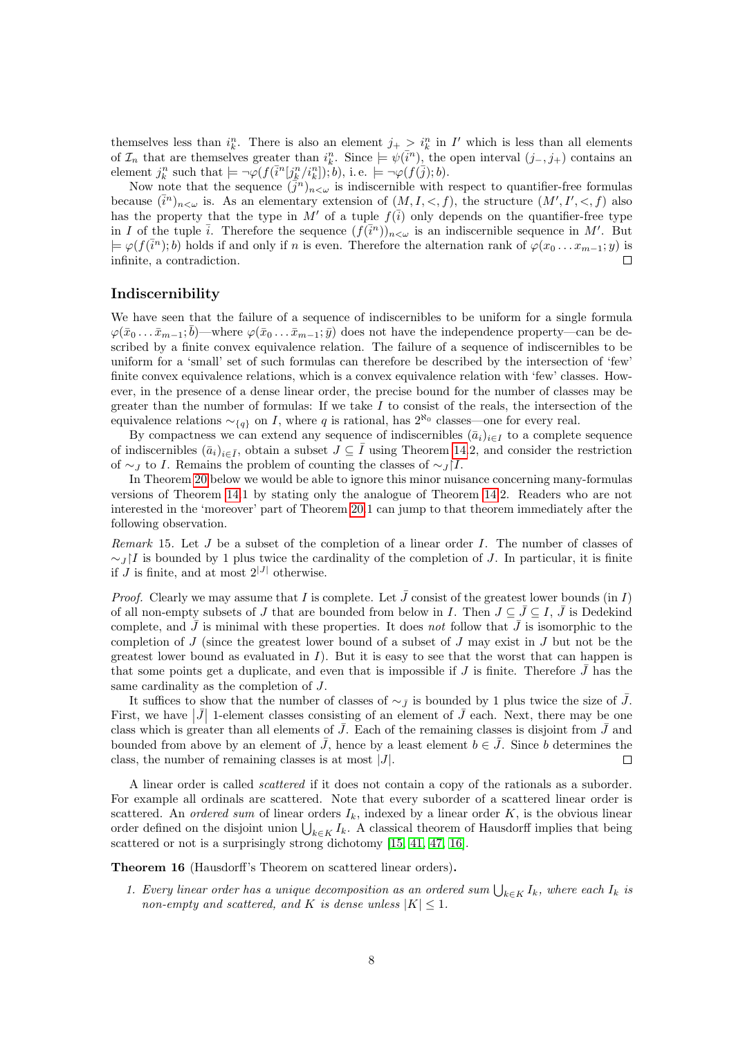themselves less than  $i_k^n$ . There is also an element  $j_+ > i_k^n$  in I' which is less than all elements of  $\mathcal{I}_n$  that are themselves greater than  $i_k^n$ . Since  $\models \psi(\bar{i}^n)$ , the open interval  $(j_-, j_+)$  contains an element  $j_k^n$  such that  $\models \neg \varphi(f(\bar{i}^n[j_k^n/i_k^n]); b)$ , i.e.  $\models \neg \varphi(f(\bar{j}); b)$ .

Now note that the sequence  $(\bar{j}^n)_{n<\omega}$  is indiscernible with respect to quantifier-free formulas because  $(\bar{i}^n)_{n<\omega}$  is. As an elementary extension of  $(M, I, \lt, f)$ , the structure  $(M', I', \lt, f)$  also has the property that the type in M' of a tuple  $f(\overline{i})$  only depends on the quantifier-free type in I of the tuple  $\overline{i}$ . Therefore the sequence  $(\overline{f}(\overline{i}^n))_{n<\omega}$  is an indiscernible sequence in M'. But  $\models \varphi(f(\overline{i}^n); b)$  holds if and only if n is even. Therefore the alternation rank of  $\varphi(x_0 \ldots x_{m-1}; y)$  is infinite, a contradiction.  $\Box$ 

### Indiscernibility

We have seen that the failure of a sequence of indiscernibles to be uniform for a single formula  $\varphi(\bar{x}_0 \dots \bar{x}_{m-1}; \bar{b})$ —where  $\varphi(\bar{x}_0 \dots \bar{x}_{m-1}; \bar{y})$  does not have the independence property—can be described by a finite convex equivalence relation. The failure of a sequence of indiscernibles to be uniform for a 'small' set of such formulas can therefore be described by the intersection of 'few' finite convex equivalence relations, which is a convex equivalence relation with 'few' classes. However, in the presence of a dense linear order, the precise bound for the number of classes may be greater than the number of formulas: If we take  $I$  to consist of the reals, the intersection of the equivalence relations  $\sim_{\{q\}}$  on I, where q is rational, has  $2^{\aleph_0}$  classes—one for every real.

By compactness we can extend any sequence of indiscernibles  $(\bar{a}_i)_{i\in I}$  to a complete sequence of indiscernibles  $(\bar{a}_i)_{i\in\bar{I}}$ , obtain a subset  $J\subseteq\bar{I}$  using Theorem [14.](#page-5-2)2, and consider the restriction of ∼*J* to *I*. Remains the problem of counting the classes of ∼ $J$ [*I*.

In Theorem [20](#page-8-0) below we would be able to ignore this minor nuisance concerning many-formulas versions of Theorem [14.](#page-5-2)1 by stating only the analogue of Theorem [14.](#page-5-2)2. Readers who are not interested in the 'moreover' part of Theorem [20.](#page-8-0)1 can jump to that theorem immediately after the following observation.

<span id="page-7-0"></span>Remark 15. Let J be a subset of the completion of a linear order I. The number of classes of  $\sim$ J[I is bounded by 1 plus twice the cardinality of the completion of J. In particular, it is finite if  $J$  is finite, and at most  $2^{|J|}$  otherwise.

*Proof.* Clearly we may assume that I is complete. Let  $\bar{J}$  consist of the greatest lower bounds (in I) of all non-empty subsets of J that are bounded from below in I. Then  $J \subseteq \overline{J} \subseteq I$ ,  $\overline{J}$  is Dedekind complete, and  $\bar{J}$  is minimal with these properties. It does not follow that  $\bar{J}$  is isomorphic to the completion of J (since the greatest lower bound of a subset of J may exist in J but not be the greatest lower bound as evaluated in  $I$ ). But it is easy to see that the worst that can happen is that some points get a duplicate, and even that is impossible if J is finite. Therefore  $\bar{J}$  has the same cardinality as the completion of J.

It suffices to show that the number of classes of  $\sim_{\bar{J}}$  is bounded by 1 plus twice the size of  $\bar{J}$ . First, we have  $|\bar{J}|$  1-element classes consisting of an element of  $\bar{J}$  each. Next, there may be one class which is greater than all elements of  $\bar{J}$ . Each of the remaining classes is disjoint from  $\bar{J}$  and bounded from above by an element of  $\bar{J}$ , hence by a least element  $b \in \bar{J}$ . Since b determines the class, the number of remaining classes is at most  $|J|$ .  $\Box$ 

A linear order is called scattered if it does not contain a copy of the rationals as a suborder. For example all ordinals are scattered. Note that every suborder of a scattered linear order is scattered. An *ordered sum* of linear orders  $I_k$ , indexed by a linear order K, is the obvious linear order defined on the disjoint union  $\bigcup_{k\in K} I_k$ . A classical theorem of Hausdorff implies that being scattered or not is a surprisingly strong dichotomy [\[15,](#page-21-7) [41,](#page-22-9) [47,](#page-22-10) [16\]](#page-21-8).

Theorem 16 (Hausdorff's Theorem on scattered linear orders).

1. Every linear order has a unique decomposition as an ordered sum  $\bigcup_{k\in K} I_k$ , where each  $I_k$  is non-empty and scattered, and K is dense unless  $|K| \leq 1$ .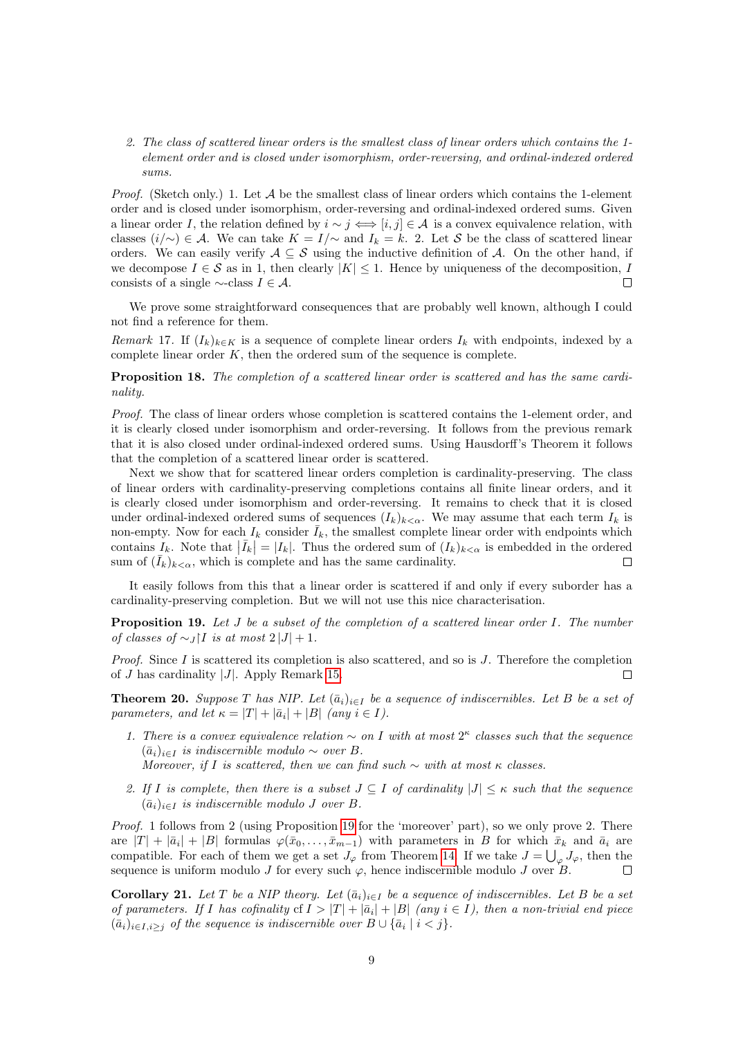#### 2. The class of scattered linear orders is the smallest class of linear orders which contains the 1 element order and is closed under isomorphism, order-reversing, and ordinal-indexed ordered sums.

*Proof.* (Sketch only.) 1. Let  $A$  be the smallest class of linear orders which contains the 1-element order and is closed under isomorphism, order-reversing and ordinal-indexed ordered sums. Given a linear order I, the relation defined by  $i \sim j \iff [i, j] \in \mathcal{A}$  is a convex equivalence relation, with classes  $(i/\sim) \in \mathcal{A}$ . We can take  $K = I/\sim$  and  $I_k = k$ . 2. Let S be the class of scattered linear orders. We can easily verify  $A \subseteq S$  using the inductive definition of A. On the other hand, if we decompose  $I \in \mathcal{S}$  as in 1, then clearly  $|K| \leq 1$ . Hence by uniqueness of the decomposition, I consists of a single  $\sim$ -class  $I \in \mathcal{A}$ .  $\Box$ 

We prove some straightforward consequences that are probably well known, although I could not find a reference for them.

Remark 17. If  $(I_k)_{k\in K}$  is a sequence of complete linear orders  $I_k$  with endpoints, indexed by a complete linear order  $K$ , then the ordered sum of the sequence is complete.

Proposition 18. The completion of a scattered linear order is scattered and has the same cardinality.

Proof. The class of linear orders whose completion is scattered contains the 1-element order, and it is clearly closed under isomorphism and order-reversing. It follows from the previous remark that it is also closed under ordinal-indexed ordered sums. Using Hausdorff's Theorem it follows that the completion of a scattered linear order is scattered.

Next we show that for scattered linear orders completion is cardinality-preserving. The class of linear orders with cardinality-preserving completions contains all finite linear orders, and it is clearly closed under isomorphism and order-reversing. It remains to check that it is closed under ordinal-indexed ordered sums of sequences  $(I_k)_{k<\alpha}$ . We may assume that each term  $I_k$  is non-empty. Now for each  $I_k$  consider  $\bar{I}_k$ , the smallest complete linear order with endpoints which contains  $I_k$ . Note that  $|\bar{I}_k| = |I_k|$ . Thus the ordered sum of  $(I_k)_{k < \alpha}$  is embedded in the ordered sum of  $(I_k)_{k \leq \alpha}$ , which is complete and has the same cardinality.

It easily follows from this that a linear order is scattered if and only if every suborder has a cardinality-preserving completion. But we will not use this nice characterisation.

<span id="page-8-1"></span>**Proposition 19.** Let  $J$  be a subset of the completion of a scattered linear order  $I$ . The number of classes of  $\sim_J$ |I is at most 2 |J| + 1.

*Proof.* Since I is scattered its completion is also scattered, and so is  $J$ . Therefore the completion of J has cardinality |J|. Apply Remark [15.](#page-7-0)  $\Box$ 

<span id="page-8-0"></span>**Theorem 20.** Suppose T has NIP. Let  $(\bar{a}_i)_{i\in I}$  be a sequence of indiscernibles. Let B be a set of parameters, and let  $\kappa = |T| + |\bar{a}_i| + |B|$  (any  $i \in I$ ).

- 1. There is a convex equivalence relation  $\sim$  on I with at most  $2^{\kappa}$  classes such that the sequence  $(\bar{a}_i)_{i\in I}$  is indiscernible modulo  $\sim$  over B. Moreover, if I is scattered, then we can find such  $\sim$  with at most  $\kappa$  classes.
- 2. If I is complete, then there is a subset  $J \subseteq I$  of cardinality  $|J| \leq \kappa$  such that the sequence  $(\bar{a}_i)_{i\in I}$  is indiscernible modulo J over B.

Proof. 1 follows from 2 (using Proposition [19](#page-8-1) for the 'moreover' part), so we only prove 2. There are  $|T| + |\bar{a}_i| + |B|$  formulas  $\varphi(\bar{x}_0, \ldots, \bar{x}_{m-1})$  with parameters in B for which  $\bar{x}_k$  and  $\bar{a}_i$  are compatible. For each of them we get a set  $J_{\varphi}$  from Theorem [14.](#page-5-2) If we take  $J = \bigcup_{\varphi} J_{\varphi}$ , then the sequence is uniform modulo J for every such  $\varphi$ , hence indiscernible modulo J over B.  $\Box$ 

**Corollary 21.** Let T be a NIP theory. Let  $(\bar{a}_i)_{i\in I}$  be a sequence of indiscernibles. Let B be a set of parameters. If I has cofinality cf  $I > |T| + |\bar{a}_i| + |B|$  (any  $i \in I$ ), then a non-trivial end piece  $(\bar{a}_i)_{i \in I, i \geq j}$  of the sequence is indiscernible over  $B \cup {\bar{a}_i \mid i < j}$ .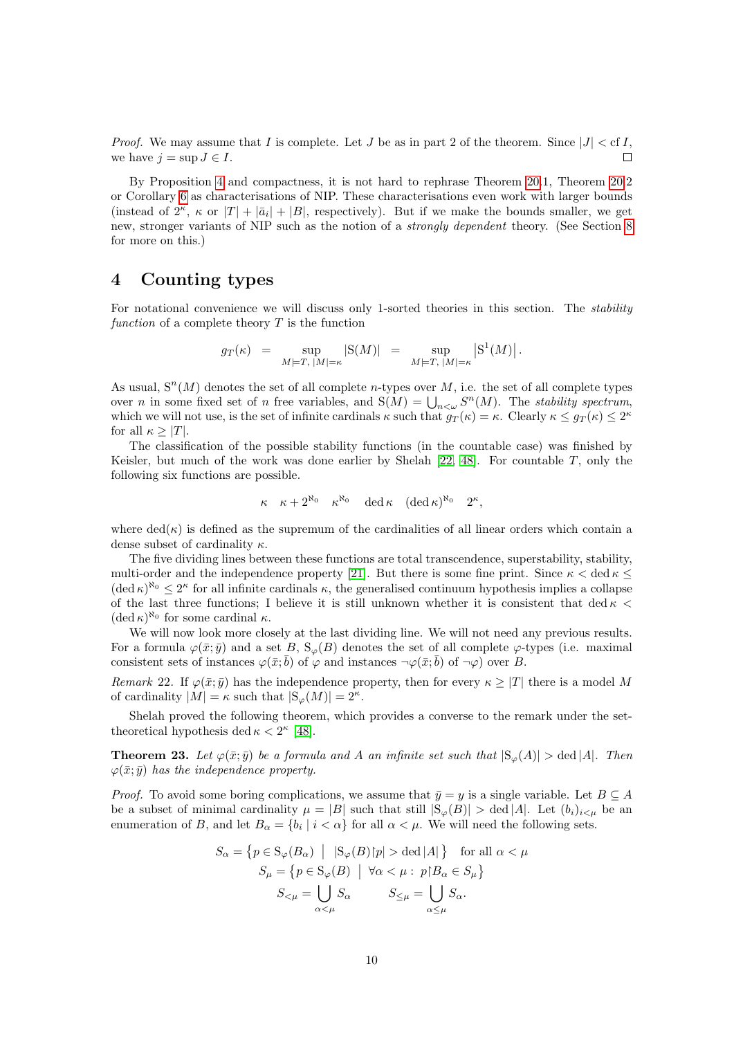*Proof.* We may assume that I is complete. Let J be as in part 2 of the theorem. Since  $|J| < c$  I, we have  $i = \sup J \in I$ .  $\Box$ 

By Proposition [4](#page-2-3) and compactness, it is not hard to rephrase Theorem [20.](#page-8-0)1, Theorem [20.](#page-8-0)2 or Corollary [6](#page-3-0) as characterisations of NIP. These characterisations even work with larger bounds (instead of  $2^{\kappa}$ ,  $\kappa$  or  $|T| + |\bar{a}_i| + |B|$ , respectively). But if we make the bounds smaller, we get new, stronger variants of NIP such as the notion of a strongly dependent theory. (See Section [8](#page-19-0) for more on this.)

### <span id="page-9-0"></span>4 Counting types

For notational convenience we will discuss only 1-sorted theories in this section. The stability function of a complete theory  $T$  is the function

$$
g_T(\kappa) \;\; = \;\; \sup_{M \models T, \; |M| = \kappa} |\mathcal{S}(M)| \;\; = \;\; \sup_{M \models T, \; |M| = \kappa} \left| \mathcal{S}^1(M) \right|.
$$

As usual,  $S<sup>n</sup>(M)$  denotes the set of all complete *n*-types over M, i.e. the set of all complete types over *n* in some fixed set of *n* free variables, and  $S(M) = \bigcup_{n \leq \omega} S^n(M)$ . The *stability spectrum*, which we will not use, is the set of infinite cardinals  $\kappa$  such that  $g_T(\kappa) = \kappa$ . Clearly  $\kappa \leq g_T(\kappa) \leq 2^{\kappa}$ for all  $\kappa > |T|$ .

The classification of the possible stability functions (in the countable case) was finished by Keisler, but much of the work was done earlier by Shelah  $[22, 48]$  $[22, 48]$ . For countable T, only the following six functions are possible.

$$
\kappa \kappa + 2^{\aleph_0} \kappa^{\aleph_0} \det \kappa \ (\det \kappa)^{\aleph_0} 2^{\kappa},
$$

where  $\text{ded}(\kappa)$  is defined as the supremum of the cardinalities of all linear orders which contain a dense subset of cardinality  $\kappa$ .

The five dividing lines between these functions are total transcendence, superstability, stability, multi-order and the independence property [\[21\]](#page-21-10). But there is some fine print. Since  $\kappa < \text{ded } \kappa \leq$  $(\text{ded } \kappa)^{\aleph_0} \leq 2^{\kappa}$  for all infinite cardinals  $\kappa$ , the generalised continuum hypothesis implies a collapse of the last three functions; I believe it is still unknown whether it is consistent that ded  $\kappa$  <  $(\det \kappa)^{\aleph_0}$  for some cardinal  $\kappa$ .

We will now look more closely at the last dividing line. We will not need any previous results. For a formula  $\varphi(\bar{x}; \bar{y})$  and a set B,  $S_{\varphi}(B)$  denotes the set of all complete  $\varphi$ -types (i.e. maximal consistent sets of instances  $\varphi(\bar{x};\bar{b})$  of  $\varphi$  and instances  $\neg\varphi(\bar{x};\bar{b})$  of  $\neg\varphi$ ) over B.

Remark 22. If  $\varphi(\bar{x}; \bar{y})$  has the independence property, then for every  $\kappa \geq |T|$  there is a model M of cardinality  $|M| = \kappa$  such that  $|S_{\varphi}(M)| = 2^{\kappa}$ .

Shelah proved the following theorem, which provides a converse to the remark under the settheoretical hypothesis ded  $\kappa < 2^{\kappa}$  [\[48\]](#page-22-0).

**Theorem 23.** Let  $\varphi(\bar{x}; \bar{y})$  be a formula and A an infinite set such that  $|S_{\varphi}(A)| > \text{ded } |A|$ . Then  $\varphi(\bar{x}; \bar{y})$  has the independence property.

*Proof.* To avoid some boring complications, we assume that  $\bar{y} = y$  is a single variable. Let  $B \subseteq A$ be a subset of minimal cardinality  $\mu = |B|$  such that still  $|S_{\varphi}(B)| > \text{ded } |A|$ . Let  $(b_i)_{i \leq \mu}$  be an enumeration of B, and let  $B_{\alpha} = \{b_i \mid i < \alpha\}$  for all  $\alpha < \mu$ . We will need the following sets.

$$
S_{\alpha} = \{ p \in \mathcal{S}_{\varphi}(B_{\alpha}) \mid |\mathcal{S}_{\varphi}(B)|p| > \text{ded } |A| \} \text{ for all } \alpha < \mu
$$
  

$$
S_{\mu} = \{ p \in \mathcal{S}_{\varphi}(B) \mid \forall \alpha < \mu : p \upharpoonright B_{\alpha} \in S_{\mu} \}
$$
  

$$
S_{<\mu} = \bigcup_{\alpha < \mu} S_{\alpha} \qquad S_{\leq \mu} = \bigcup_{\alpha \leq \mu} S_{\alpha}.
$$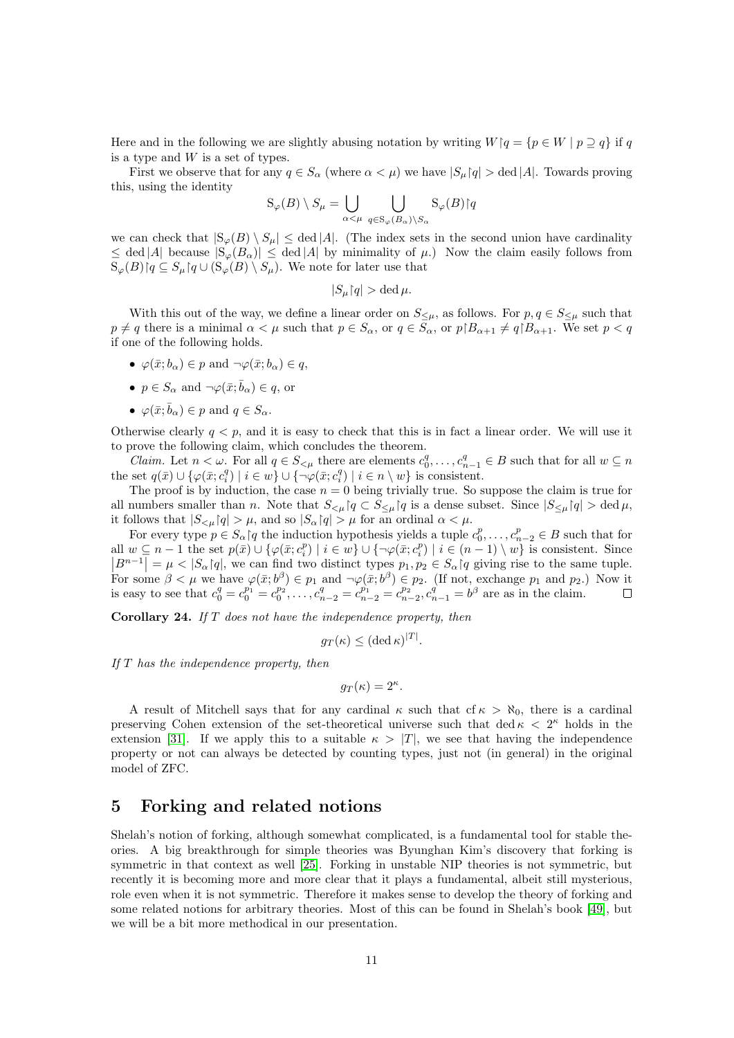Here and in the following we are slightly abusing notation by writing  $W \mid q = \{p \in W \mid p \supseteq q\}$  if q is a type and W is a set of types.

First we observe that for any  $q \in S_\alpha$  (where  $\alpha < \mu$ ) we have  $|S_\mu(q)| > \text{ded } |A|$ . Towards proving this, using the identity

$$
S_{\varphi}(B) \setminus S_{\mu} = \bigcup_{\alpha < \mu} \bigcup_{q \in S_{\varphi}(B_{\alpha}) \setminus S_{\alpha}} S_{\varphi}(B) \mid q
$$

we can check that  $|S_{\varphi}(B) \setminus S_{\mu}| \leq \text{ded } |A|$ . (The index sets in the second union have cardinality  $\leq$  ded |A| because  $|S_{\varphi}(B_{\alpha})| \leq$  ded |A| by minimality of  $\mu$ .) Now the claim easily follows from  $S_{\varphi}(B)$  $q \subseteq S_{\mu}$  $q \cup (S_{\varphi}(B) \setminus S_{\mu})$ . We note for later use that

$$
|S_{\mu} \restriction q| > \operatorname{ded} \mu.
$$

With this out of the way, we define a linear order on  $S_{\leq \mu}$ , as follows. For  $p, q \in S_{\leq \mu}$  such that  $p \neq q$  there is a minimal  $\alpha < \mu$  such that  $p \in S_\alpha$ , or  $q \in S_\alpha$ , or  $p|B_{\alpha+1} \neq q|B_{\alpha+1}$ . We set  $p < q$ if one of the following holds.

- $\varphi(\bar{x}; b_{\alpha}) \in p$  and  $\neg \varphi(\bar{x}; b_{\alpha}) \in q$ ,
- $p \in S_\alpha$  and  $\neg \varphi(\bar{x}; \bar{b}_\alpha) \in q$ , or
- $\varphi(\bar{x}; \bar{b}_{\alpha}) \in p$  and  $q \in S_{\alpha}$ .

Otherwise clearly  $q < p$ , and it is easy to check that this is in fact a linear order. We will use it to prove the following claim, which concludes the theorem.

*Claim.* Let  $n < \omega$ . For all  $q \in S_{\leq \mu}$  there are elements  $c_0^q, \ldots, c_{n-1}^q \in B$  such that for all  $w \subseteq n$ the set  $q(\bar{x}) \cup \{ \varphi(\bar{x}; c_i^q) \mid i \in w \} \cup \{ \neg \varphi(\bar{x}; c_i^q) \mid i \in n \setminus w \}$  is consistent.

The proof is by induction, the case  $n = 0$  being trivially true. So suppose the claim is true for all numbers smaller than n. Note that  $S_{\leq \mu} \nvert q \subset S_{\leq \mu} \nvert q$  is a dense subset. Since  $|S_{\leq \mu} \nvert q \rangle > \text{ded } \mu$ , it follows that  $|S_{\leq \mu} \nvert q \rvert > \mu$ , and so  $|S_{\alpha} \nvert q \rvert > \mu$  for an ordinal  $\alpha < \mu$ .

For every type  $p \in S_\alpha$  |q the induction hypothesis yields a tuple  $c_0^p, \ldots, c_{n-2}^p \in B$  such that for all  $w \subseteq n-1$  the set  $p(\bar{x}) \cup \{ \varphi(\bar{x}; c_i^p) \mid i \in w \} \cup \{ \neg \varphi(\bar{x}; c_i^p) \mid i \in (n-1) \setminus w \}$  is consistent. Since  $|B^{n-1}| = \mu < |S_\alpha(q)|$ , we can find two distinct types  $p_1, p_2 \in S_\alpha(q)$  giving rise to the same tuple.<br>For some  $\beta < \mu$  we have  $\varphi(\bar{x}; b^\beta) \in p_1$  and  $\neg \varphi(\bar{x}; b^\beta) \in p_2$ . (If not, exchange  $p_1$  and  $p_2$ .) Now it is easy to see that  $c_0^q = c_0^{p_1} = c_0^{p_2}, \ldots, c_{n-2}^q = c_{n-2}^{p_1} = c_{n-2}^{p_2}, c_{n-1}^q = b^\beta$  are as in the claim.

<span id="page-10-1"></span>**Corollary 24.** If  $T$  does not have the independence property, then

$$
g_T(\kappa) \leq (\det \kappa)^{|T|}.
$$

If T has the independence property, then

$$
g_T(\kappa) = 2^{\kappa}.
$$

A result of Mitchell says that for any cardinal  $\kappa$  such that cf  $\kappa > \aleph_0$ , there is a cardinal preserving Cohen extension of the set-theoretical universe such that ded  $\kappa$   $\langle$  2<sup> $\kappa$ </sup> holds in the extension [\[31\]](#page-22-11). If we apply this to a suitable  $\kappa > |T|$ , we see that having the independence property or not can always be detected by counting types, just not (in general) in the original model of ZFC.

### <span id="page-10-0"></span>5 Forking and related notions

Shelah's notion of forking, although somewhat complicated, is a fundamental tool for stable theories. A big breakthrough for simple theories was Byunghan Kim's discovery that forking is symmetric in that context as well [\[25\]](#page-21-11). Forking in unstable NIP theories is not symmetric, but recently it is becoming more and more clear that it plays a fundamental, albeit still mysterious, role even when it is not symmetric. Therefore it makes sense to develop the theory of forking and some related notions for arbitrary theories. Most of this can be found in Shelah's book [\[49\]](#page-22-6), but we will be a bit more methodical in our presentation.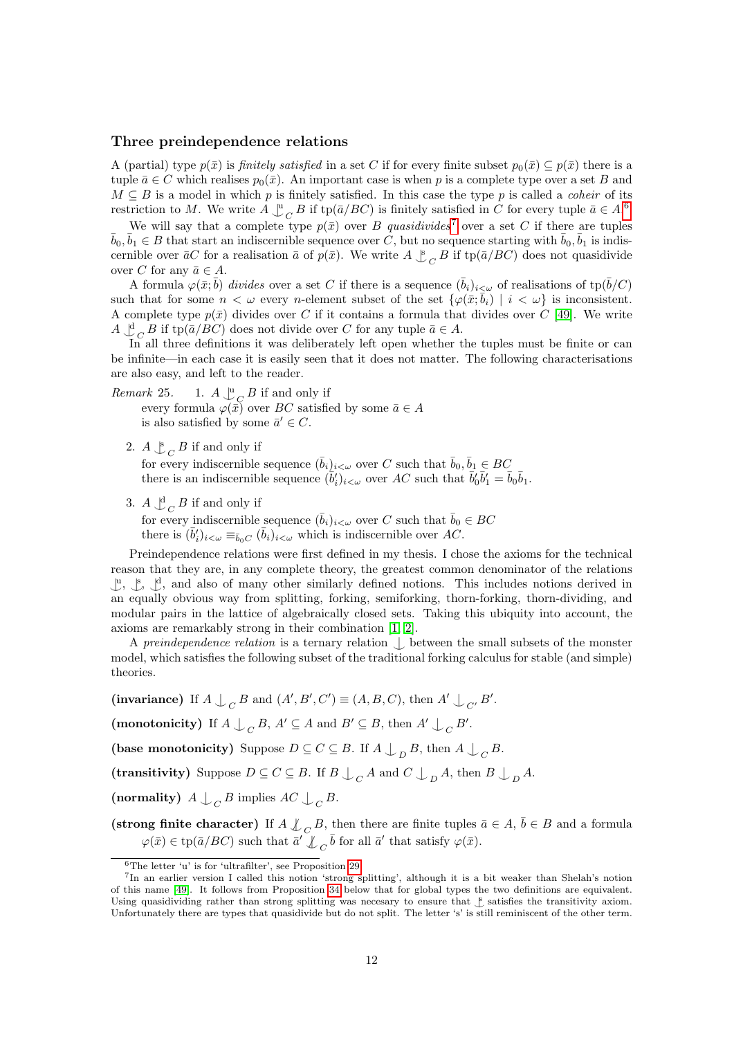### Three preindependence relations

A (partial) type  $p(\bar{x})$  is *finitely satisfied* in a set C if for every finite subset  $p_0(\bar{x}) \subseteq p(\bar{x})$  there is a tuple  $\bar{a} \in C$  which realises  $p_0(\bar{x})$ . An important case is when p is a complete type over a set B and  $M \subseteq B$  is a model in which p is finitely satisfied. In this case the type p is called a *coheir* of its restriction to M. We write  $A \perp_C^{\mathfrak{u}} B$  if tp( $\bar{a}/BC$ ) is finitely satisfied in C for every tuple  $\bar{a} \in A$ .<sup>[6](#page-11-0)</sup>

We will say that a complete type  $p(\bar{x})$  over B quasidivides<sup>[7](#page-11-1)</sup> over a set C if there are tuples  $\bar{b}_0, \bar{b}_1 \in B$  that start an indiscernible sequence over C, but no sequence starting with  $\bar{b}_0, \bar{b}_1$  is indiscernible over  $\bar{a}C$  for a realisation  $\bar{a}$  of  $p(\bar{x})$ . We write  $A \underset{C}{\downarrow}{}_{C} B$  if tp( $\bar{a}/BC$ ) does not quasidivide over C for any  $\bar{a} \in A$ .

A formula  $\varphi(\bar{x}; \bar{b})$  divides over a set C if there is a sequence  $(\bar{b}_i)_{i \leq \omega}$  of realisations of tp $(\bar{b}/C)$ such that for some  $n < \omega$  every *n*-element subset of the set  $\{\varphi(\bar{x}; \bar{b}_i) \mid i < \omega\}$  is inconsistent. A complete type  $p(\bar{x})$  divides over C if it contains a formula that divides over C [\[49\]](#page-22-6). We write  $A \underset{\sim}{\downarrow}_{C} B$  if tp( $\bar{a}/BC$ ) does not divide over C for any tuple  $\bar{a} \in A$ .

In all three definitions it was deliberately left open whether the tuples must be finite or can be infinite—in each case it is easily seen that it does not matter. The following characterisations are also easy, and left to the reader.

<span id="page-11-3"></span>Remark 25.  $\bigcup_{Q}^{\mathbf{u}} G$  if and only if

every formula  $\varphi(\bar{x})$  over BC satisfied by some  $\bar{a} \in A$ is also satisfied by some  $\bar{a}' \in C$ .

2.  $A \underset{C}{\downarrow} B$  if and only if

for every indiscernible sequence  $(\bar{b}_i)_{i<\omega}$  over C such that  $\bar{b}_0, \bar{b}_1 \in BC$ there is an indiscernible sequence  $(\bar{b}'_i)_{i<\omega}$  over AC such that  $\bar{b}'_0\bar{b}'_1 = \bar{b}_0\bar{b}_1$ .

3.  $A \bigcup_{C}^{d} B$  if and only if

for every indiscernible sequence  $(\bar{b}_i)_{i\lt\omega}$  over C such that  $\bar{b}_0 \in BC$ there is  $(\bar{b}'_i)_{i<\omega} \equiv_{\bar{b}_0C} (\bar{b}_i)_{i<\omega}$  which is indiscernible over AC.

Preindependence relations were first defined in my thesis. I chose the axioms for the technical reason that they are, in any complete theory, the greatest common denominator of the relations  $\downarrow^{\mathfrak{u}}, \downarrow^{\mathfrak{d}},$  and also of many other similarly defined notions. This includes notions derived in an equally obvious way from splitting, forking, semiforking, thorn-forking, thorn-dividing, and modular pairs in the lattice of algebraically closed sets. Taking this ubiquity into account, the axioms are remarkably strong in their combination [\[1,](#page-20-3) [2\]](#page-20-4).

A preindependence relation is a ternary relation  $\bigcup$  between the small subsets of the monster model, which satisfies the following subset of the traditional forking calculus for stable (and simple) theories.

(invariance) If  $A \perp_C B$  and  $(A', B', C') \equiv (A, B, C)$ , then  $A' \perp_{C'} B'$ .

(monotonicity) If  $A \perp_C B$ ,  $A' \subseteq A$  and  $B' \subseteq B$ , then  $A' \perp_C B'$ .

(base monotonicity) Suppose  $D \subseteq C \subseteq B$ . If  $A \bigcup_{D} B$ , then  $A \bigcup_{C} B$ .

(transitivity) Suppose  $D \subseteq C \subseteq B$ . If  $B \bigcup_C A$  and  $C \bigcup_D A$ , then  $B \bigcup_D A$ .

(normality)  $A \bigcup_C B$  implies  $AC \bigcup_C B$ .

(strong finite character) If  $A \not\perp_C B$ , then there are finite tuples  $\bar{a} \in A$ ,  $\bar{b} \in B$  and a formula  $\varphi(\bar{x}) \in \text{tp}(\bar{a}/BC)$  such that  $\bar{a}' \overset{\vee}{\downarrow} _C \bar{b}$  for all  $\bar{a}'$  that satisfy  $\varphi(\bar{x})$ .

<span id="page-11-1"></span><span id="page-11-0"></span><sup>6</sup>The letter 'u' is for 'ultrafilter', see Proposition [29.](#page-12-0)

<span id="page-11-2"></span><sup>7</sup> In an earlier version I called this notion 'strong splitting', although it is a bit weaker than Shelah's notion of this name [\[49\]](#page-22-6). It follows from Proposition [34](#page-14-0) below that for global types the two definitions are equivalent. Using quasidividing rather than strong splitting was necesary to ensure that  $\frac{8}{5}$  satisfies the transitivity axiom. Unfortunately there are types that quasidivide but do not split. The letter 's' is still reminiscent of the other term.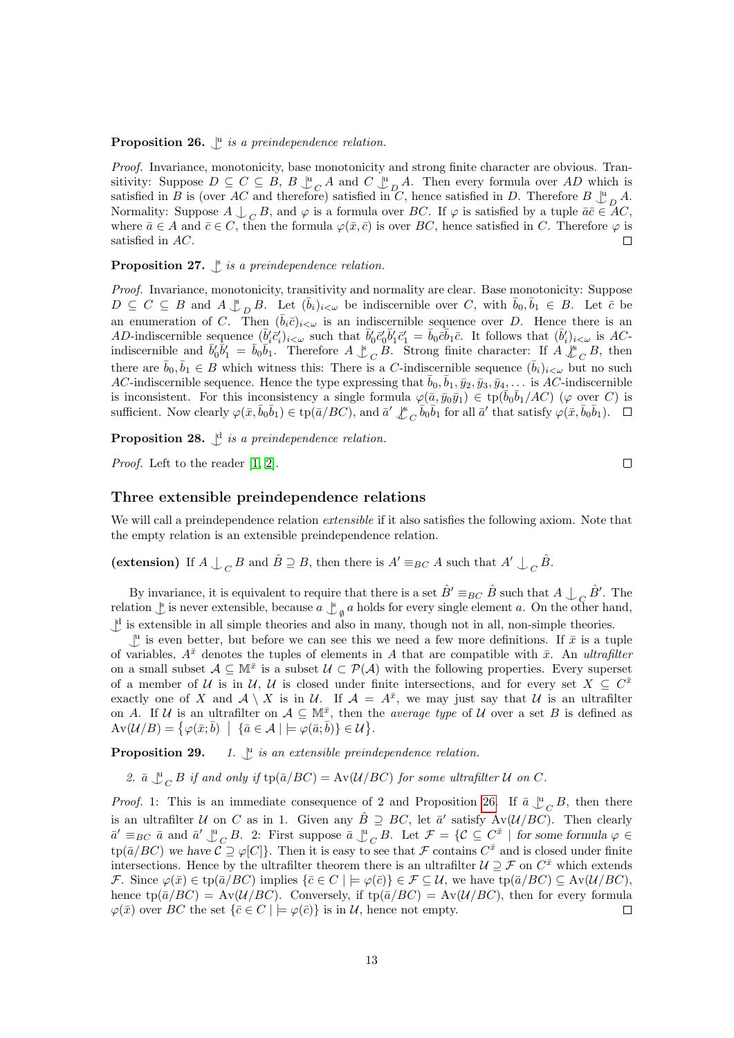# **Proposition 26.**  $\int_a^b$  is a preindependence relation.

Proof. Invariance, monotonicity, base monotonicity and strong finite character are obvious. Transitivity: Suppose  $D \subseteq C \subseteq B$ ,  $B \downarrow \atop C \uparrow B$  and  $C \downarrow \atop D \uparrow A$ . Then every formula over AD which is satisfied in B is (over AC and therefore) satisfied in C, hence satisfied in D. Therefore  $B \downarrow^{\text{u}}_{D} A$ . Normality: Suppose  $A \downarrow_C B$ , and  $\varphi$  is a formula over BC. If  $\varphi$  is satisfied by a tuple  $\bar{a}\bar{c} \in AC$ , where  $\bar{a} \in A$  and  $\bar{c} \in C$ , then the formula  $\varphi(\bar{x}, \bar{c})$  is over BC, hence satisfied in C. Therefore  $\varphi$  is satisfied in AC.  $\Box$ 

# <span id="page-12-1"></span>**Proposition 27.**  $\int_a^b$  is a preindependence relation.

Proof. Invariance, monotonicity, transitivity and normality are clear. Base monotonicity: Suppose  $D \subseteq C \subseteq B$  and  $A \underset{\sim}{\downarrow}_{D} B$ . Let  $(\bar{b}_i)_{i<\omega}$  be indiscernible over C, with  $\bar{b}_0, \bar{b}_1 \in B$ . Let  $\bar{c}$  be an enumeration of C. Then  $(\bar{b}_i\bar{c})_{i\leq\omega}$  is an indiscernible sequence over D. Hence there is an AD-indiscernible sequence  $(\bar{b}_i' \bar{c}_i')_{i<\omega}$  such that  $\bar{b}_0' \bar{c}_0' \bar{b}_1' \bar{c}_1' = \bar{b}_0 \bar{c} \bar{b}_1 \bar{c}$ . It follows that  $(\bar{b}_i')_{i<\omega}$  is ACindiscernible and  $\bar{b}'_0 \bar{b}'_1 = \bar{b}_0 \bar{b}_1$ . Therefore  $A \& C \ B$ . Strong finite character: If  $A \& C \ B$ , then there are  $\bar{b}_0, \bar{b}_1 \in B$  which witness this: There is a C-indiscernible sequence  $(\bar{b}_i)_{i \leq \omega}$  but no such AC-indiscernible sequence. Hence the type expressing that  $\bar{b}_0, \bar{b}_1, \bar{y}_2, \bar{y}_3, \bar{y}_4, \ldots$  is AC-indiscernible is inconsistent. For this inconsistency a single formula  $\varphi(\bar{a}, \bar{y}_0\bar{y}_1) \in \text{tp}(\bar{b}_0\bar{b}_1/AC)$  ( $\varphi$  over C) is sufficient. Now clearly  $\varphi(\bar{x}, \bar{b}_0 \bar{b}_1) \in \text{tp}(\bar{a}/BC)$ , and  $\bar{a}' \&_{C} \bar{b}_0 \bar{b}_1$  for all  $\bar{a}'$  that satisfy  $\varphi(\bar{x}, \bar{b}_0 \bar{b}_1)$ .

**Proposition 28.**  $\bigcup$ <sup>d</sup> is a preindependence relation.

Proof. Left to the reader [\[1,](#page-20-3) [2\]](#page-20-4).

#### Three extensible preindependence relations

We will call a preindependence relation *extensible* if it also satisfies the following axiom. Note that the empty relation is an extensible preindependence relation.

(extension) If  $A \perp_C B$  and  $\hat{B} \supseteq B$ , then there is  $A' \equiv_{BC} A$  such that  $A' \perp_C \hat{B}$ .

By invariance, it is equivalent to require that there is a set  $\hat{B}' \equiv_{BC} \hat{B}$  such that  $A \bigcup_C \hat{B}'$ . The relation  $\int$  is never extensible, because  $a \int_{a}^{b} a$  holds for every single element a. On the other hand,  $\downarrow^d$  is extensible in all simple theories and also in many, though not in all, non-simple theories.

 $\mathcal{L}^{\mathbf{u}}$  is even better, but before we can see this we need a few more definitions. If  $\bar{x}$  is a tuple of variables,  $A^{\bar{x}}$  denotes the tuples of elements in A that are compatible with  $\bar{x}$ . An ultrafilter on a small subset  $A \subseteq \mathbb{M}^{\bar{x}}$  is a subset  $\mathcal{U} \subset \mathcal{P}(\mathcal{A})$  with the following properties. Every superset of a member of U is in U, U is closed under finite intersections, and for every set  $X \subseteq C^{\bar{x}}$ exactly one of X and  $A \setminus X$  is in U. If  $A = A^{\bar{x}}$ , we may just say that U is an ultrafilter on A. If U is an ultrafilter on  $A \subseteq \mathbb{M}^{\bar{x}}$ , then the *average type* of U over a set B is defined as  $Av(\mathcal{U}/B) = \{ \varphi(\bar{x}; \bar{b}) \mid \{\bar{a} \in \mathcal{A} \mid \models \varphi(\bar{a}; \bar{b}) \} \in \mathcal{U} \}.$ 

<span id="page-12-0"></span>Proposition 29.  $\mu$  is an extensible preindependence relation.

2. 
$$
\bar{a} \perp_{C}^{u} B
$$
 if and only if  $\text{tp}(\bar{a}/BC) = \text{Av}(\mathcal{U}/BC)$  for some ultrafilter  $\mathcal{U}$  on  $C$ .

*Proof.* 1: This is an immediate consequence of 2 and Proposition [26.](#page-11-2) If  $\bar{a} \perp_{C}^{\mu} B$ , then there is an ultrafilter U on C as in 1. Given any  $\hat{B} \supseteq BC$ , let  $\bar{a}'$  satisfy  $Av(\mathcal{U}/BC)$ . Then clearly  $\overline{a}' \equiv_{BC} \overline{a}$  and  $\overline{a}' \bigcup_{C}^{\mathfrak{u}} B$ . 2: First suppose  $\overline{a} \bigcup_{C}^{\mathfrak{u}} B$ . Let  $\mathcal{F} = \{C \subseteq C^{\overline{x}} \mid \text{ for some formula } \varphi \in$  $\text{tp}(\bar{a}/BC)$  we have  $\mathcal{C} \supseteq \varphi[C]$ . Then it is easy to see that  $\mathcal F$  contains  $C^{\bar{x}}$  and is closed under finite intersections. Hence by the ultrafilter theorem there is an ultrafilter  $\mathcal{U} \supseteq \mathcal{F}$  on  $C^{\bar{x}}$  which extends F. Since  $\varphi(\bar{x}) \in \text{tp}(\bar{a}/BC)$  implies  $\{\bar{c} \in C \mid \models \varphi(\bar{c})\} \in \mathcal{F} \subseteq \mathcal{U}$ , we have  $\text{tp}(\bar{a}/BC) \subseteq \text{Av}(\mathcal{U}/BC)$ , hence tp( $\bar{a}/BC$ ) = Av( $\mathcal{U}/BC$ ). Conversely, if tp( $\bar{a}/BC$ ) = Av( $\mathcal{U}/BC$ ), then for every formula  $\varphi(\bar{x})$  over BC the set  $\{\bar{c} \in C \mid \models \varphi(\bar{c})\}$  is in U, hence not empty.  $\Box$ 

 $\Box$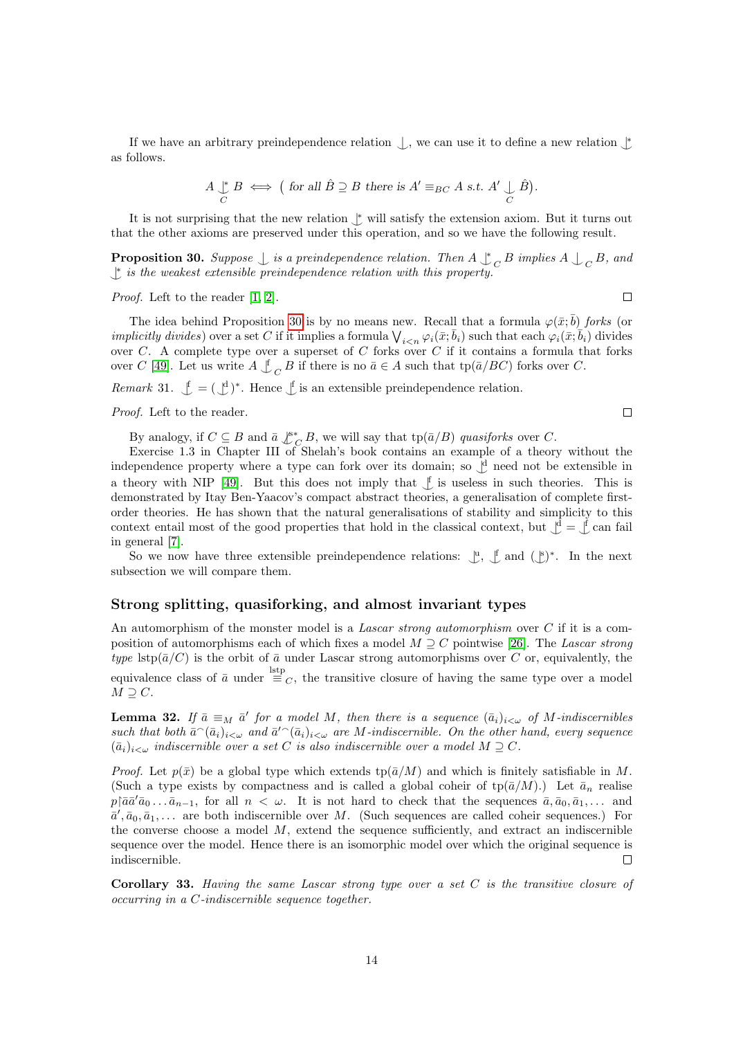If we have an arbitrary preindependence relation  $\downarrow$ , we can use it to define a new relation  $\downarrow$ as follows.

$$
A \underset{C}{\downarrow} B \iff \big(\text{ for all } \hat{B} \supseteq B \text{ there is } A' \equiv_{BC} A \text{ s.t. } A' \underset{C}{\downarrow} \hat{B}\big).
$$

It is not surprising that the new relation  $\uparrow$  will satisfy the extension axiom. But it turns out that the other axioms are preserved under this operation, and so we have the following result.

<span id="page-13-0"></span>**Proposition 30.** Suppose  $\perp$  is a preindependence relation. Then  $A \downarrow$  $\overline{C}$  B implies  $A \bigcup_{\overline{C}} B$ , and  $\downarrow$  is the weakest extensible preindependence relation with this property.

Proof. Left to the reader [\[1,](#page-20-3) [2\]](#page-20-4).

The idea behind Proposition [30](#page-13-0) is by no means new. Recall that a formula  $\varphi(\bar{x}; \bar{b})$  forks (or *implicitly divides*) over a set C if it implies a formula  $\bigvee_{i\leq n}\varphi_i(\bar{x};\bar{b}_i)$  such that each  $\varphi_i(\bar{x};\bar{b}_i)$  divides over  $C$ . A complete type over a superset of  $C$  forks over  $C$  if it contains a formula that forks over C [\[49\]](#page-22-6). Let us write  $A \nightharpoonup_C B$  if there is no  $\bar{a} \in A$  such that tp( $\bar{a}/BC$ ) forks over C.

*Remark* 31.  $\oint = (\oint)^*$ . Hence  $\oint$  is an extensible preindependence relation.

Proof. Left to the reader.

 $\Box$ 

 $\Box$ 

By analogy, if  $C \subseteq B$  and  $\bar{a} \not\downarrow^s_{C} B$ , we will say that tp $(\bar{a}/B)$  quasiforks over C.

Exercise 1.3 in Chapter III of Shelah's book contains an example of a theory without the independence property where a type can fork over its domain; so  $\bigcup$ <sup>d</sup> need not be extensible in a theory with NIP [\[49\]](#page-22-6). But this does not imply that  $\int$  is useless in such theories. This is demonstrated by Itay Ben-Yaacov's compact abstract theories, a generalisation of complete firstorder theories. He has shown that the natural generalisations of stability and simplicity to this context entail most of the good properties that hold in the classical context, but  $\bigcup^d = \bigcup^d$  can fail in general [\[7\]](#page-20-5).

So we now have three extensible preindependence relations:  $\mathcal{L}, \mathcal{L}$  and  $(\mathcal{L})^*$ . In the next subsection we will compare them.

#### Strong splitting, quasiforking, and almost invariant types

An automorphism of the monster model is a Lascar strong automorphism over  $C$  if it is a composition of automorphisms each of which fixes a model  $M \supset C$  pointwise [\[26\]](#page-21-12). The Lascar strong type lstp( $\bar{a}/C$ ) is the orbit of  $\bar{a}$  under Lascar strong automorphisms over C or, equivalently, the equivalence class of  $\bar{a}$  under  $\equiv_C$ , the transitive closure of having the same type over a model  $M \supseteq C$ .

**Lemma 32.** If  $\bar{a} \equiv_M \bar{a}'$  for a model M, then there is a sequence  $(\bar{a}_i)_{i<\omega}$  of M-indiscernibles such that both  $\bar{a}^{\hat{}}(\bar{a}_i)_{i\leq\omega}$  and  $\bar{a}^{\prime\hat{}}(\bar{a}_i)_{i\leq\omega}$  are M-indiscernible. On the other hand, every sequence  $(\bar{a}_i)_{i\leq \omega}$  indiscernible over a set C is also indiscernible over a model  $M\supseteq C$ .

*Proof.* Let  $p(\bar{x})$  be a global type which extends  $tp(\bar{a}/M)$  and which is finitely satisfiable in M. (Such a type exists by compactness and is called a global coheir of  $\text{tp}(\bar{a}/M)$ .) Let  $\bar{a}_n$  realise  $p\vert \bar{a}\bar{a}'\bar{a}_0 \ldots \bar{a}_{n-1}$ , for all  $n < \omega$ . It is not hard to check that the sequences  $\bar{a}, \bar{a}_0, \bar{a}_1, \ldots$  and  $\bar{a}', \bar{a}_0, \bar{a}_1, \ldots$  are both indiscernible over M. (Such sequences are called coheir sequences.) For the converse choose a model  $M$ , extend the sequence sufficiently, and extract an indiscernible sequence over the model. Hence there is an isomorphic model over which the original sequence is indiscernible.  $\Box$ 

<span id="page-13-1"></span>Corollary 33. Having the same Lascar strong type over a set  $C$  is the transitive closure of occurring in a C-indiscernible sequence together.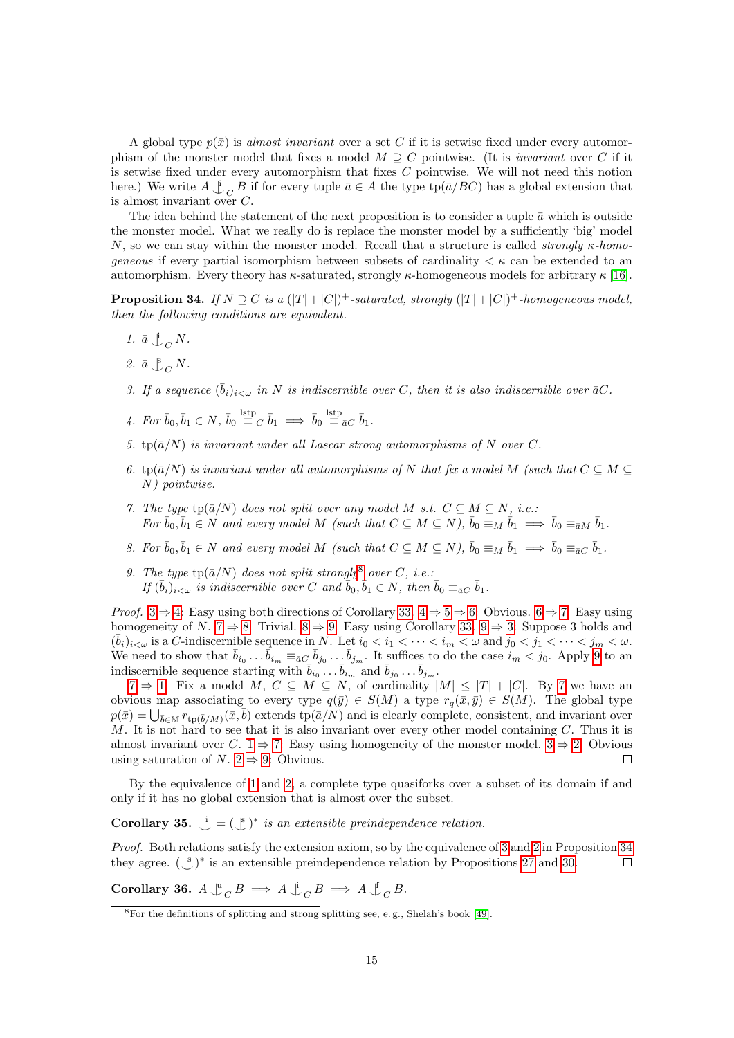A global type  $p(\bar{x})$  is almost invariant over a set C if it is setwise fixed under every automorphism of the monster model that fixes a model  $M \supset C$  pointwise. (It is *invariant* over C if it is setwise fixed under every automorphism that fixes  $C$  pointwise. We will not need this notion here.) We write  $A \downarrow_C B$  if for every tuple  $\bar{a} \in A$  the type  $\text{tp}(\bar{a}/BC)$  has a global extension that is almost invariant over C.

The idea behind the statement of the next proposition is to consider a tuple  $\bar{a}$  which is outside the monster model. What we really do is replace the monster model by a sufficiently 'big' model N, so we can stay within the monster model. Recall that a structure is called *strongly*  $\kappa$ *-homo*geneous if every partial isomorphism between subsets of cardinality  $\lt \kappa$  can be extended to an automorphism. Every theory has  $\kappa$ -saturated, strongly  $\kappa$ -homogeneous models for arbitrary  $\kappa$  [\[16\]](#page-21-8).

<span id="page-14-0"></span>**Proposition 34.** If  $N \supseteq C$  is a  $(|T| + |C|)^+$ -saturated, strongly  $(|T| + |C|)^+$ -homogeneous model, then the following conditions are equivalent.

- <span id="page-14-9"></span>1.  $\bar{a} \perp_{C} N$ .
- <span id="page-14-10"></span>2.  $\bar{a} \bigcup_{C}^{8} N$ .
- <span id="page-14-2"></span>3. If a sequence  $(\bar{b}_i)_{i<\omega}$  in N is indiscernible over C, then it is also indiscernible over  $\bar{a}C$ .
- <span id="page-14-3"></span>4. For  $\bar{b}_0, \bar{b}_1 \in N$ ,  $\bar{b}_0 \stackrel{\text{lstp}}{\equiv}_C \bar{b}_1 \implies \bar{b}_0 \stackrel{\text{lstp}}{\equiv}_{\bar{a}C} \bar{b}_1$ .
- <span id="page-14-4"></span>5.  $tp(\bar{a}/N)$  is invariant under all Lascar strong automorphisms of N over C.
- <span id="page-14-5"></span>6. tp( $\bar{a}/N$ ) is invariant under all automorphisms of N that fix a model M (such that  $C \subseteq M \subseteq$ N) pointwise.
- <span id="page-14-6"></span>7. The type  $tp(\bar{a}/N)$  does not split over any model M s.t.  $C \subseteq M \subseteq N$ , i.e.: For  $\bar{b}_0, \bar{b}_1 \in N$  and every model M (such that  $C \subseteq M \subseteq N$ ),  $\bar{b}_0 \equiv_M \bar{b}_1 \implies \bar{b}_0 \equiv_{\bar{a}M} \bar{b}_1$ .
- <span id="page-14-7"></span>8. For  $\bar{b}_0, \bar{b}_1 \in N$  and every model M (such that  $C \subseteq M \subseteq N$ ),  $\bar{b}_0 \equiv_M \bar{b}_1 \implies \bar{b}_0 \equiv_{\bar{a}C} \bar{b}_1$ .
- <span id="page-14-8"></span>9. The type  $tp(\bar{a}/N)$  does not split strongly<sup>[8](#page-14-1)</sup> over C, i.e.: If  $(\bar{b}_i)_{i<\omega}$  is indiscernible over C and  $\bar{b}_0, \bar{b}_1 \in N$ , then  $\bar{b}_0 \equiv_{\bar{a}C} \bar{b}_1$ .

*Proof.* [3](#page-14-2)  $\Rightarrow$  [4:](#page-14-3) Easy using both directions of Corollary [33.](#page-13-1)  $4 \Rightarrow 5 \Rightarrow 6$  $4 \Rightarrow 5 \Rightarrow 6$  $4 \Rightarrow 5 \Rightarrow 6$  $4 \Rightarrow 5 \Rightarrow 6$ : Obvious.  $6 \Rightarrow 7$ : Easy using homogeneity of N. [7](#page-14-6)  $\Rightarrow$  [8:](#page-14-7) Trivial. [8](#page-14-7)  $\Rightarrow$  [9:](#page-14-8) Easy using Corollary [33.](#page-13-1) [9](#page-14-8)  $\Rightarrow$  [3:](#page-14-2) Suppose 3 holds and  $(\bar{b}_i)_{i<\omega}$  is a C-indiscernible sequence in N. Let  $i_0 < i_1 < \cdots < i_m < \omega$  and  $j_0 < j_1 < \cdots < j_m < \omega$ . We need to show that  $\bar{b}_{i_0} \dots \bar{b}_{i_m} \equiv_{\bar{a}C} \bar{b}_{j_0} \dots \bar{b}_{j_m}$ . It suffices to do the case  $i_m < j_0$ . Apply [9](#page-14-8) to an indiscernible sequence starting with  $\bar{b}_{i_0} \dots \bar{b}_{i_m}$  and  $\bar{b}_{j_0} \dots \bar{b}_{j_m}$ .

 $7 \Rightarrow 1$  $7 \Rightarrow 1$ : Fix a model M,  $C \subseteq M \subseteq N$ , of cardinality  $|M| \leq |T| + |C|$ . By [7](#page-14-6) we have an obvious map associating to every type  $q(\bar{y}) \in S(M)$  a type  $r_q(\bar{x}, \bar{y}) \in S(M)$ . The global type  $p(\bar{x}) = \bigcup_{\bar{b} \in \mathbb{M}} r_{\text{tp}(\bar{b}/M)}(\bar{x}, \bar{b})$  extends  $\text{tp}(\bar{a}/N)$  and is clearly complete, consistent, and invariant over M. It is not hard to see that it is also invariant over every other model containing  $C$ . Thus it is almost invariant over C. [1](#page-14-9)  $\Rightarrow$  [7:](#page-14-6) Easy using homogeneity of the monster model. [3](#page-14-2)  $\Rightarrow$  [2:](#page-14-10) Obvious using saturation of N.  $2 \Rightarrow 9$ : Obvious.  $\Box$ 

By the equivalence of [1](#page-14-9) and [2,](#page-14-10) a complete type quasiforks over a subset of its domain if and only if it has no global extension that is almost over the subset.

**Corollary 35.**  $\mathcal{L} = (\mathcal{L})^*$  is an extensible preindependence relation.

Proof. Both relations satisfy the extension axiom, so by the equivalence of [3](#page-14-2) and [2](#page-14-10) in Proposition [34](#page-14-0) they agree.  $(\mathcal{L})^*$  is an extensible preindependence relation by Propositions [27](#page-12-1) and [30.](#page-13-0)  $\Box$ 

<span id="page-14-11"></span>Corollary 36.  $A \rvert_{C}^{\text{u}} B \implies A \rvert_{C}^{\text{f}} B \implies A \rvert_{C}^{\text{f}} B$ .

<span id="page-14-1"></span><sup>8</sup>For the definitions of splitting and strong splitting see, e. g., Shelah's book [\[49\]](#page-22-6).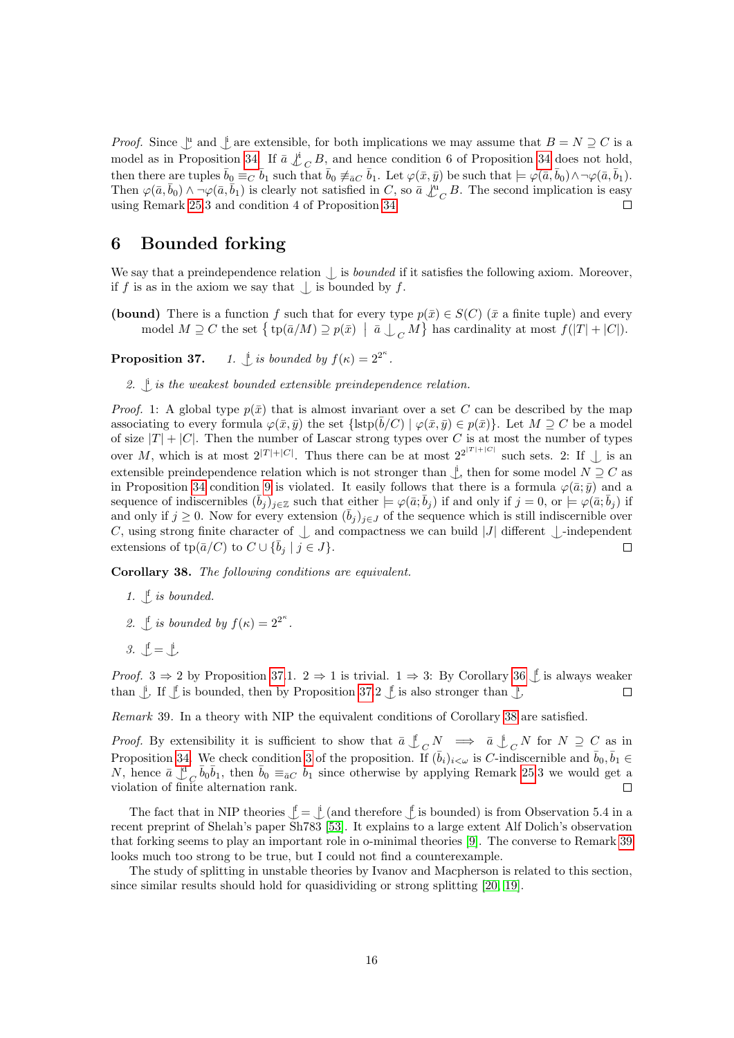*Proof.* Since  $\int_a^b$  and  $\int_a^b$  are extensible, for both implications we may assume that  $B = N \supseteq C$  is a model as in Proposition [34.](#page-14-0) If  $\bar{a} \not\perp_{C} B$ , and hence condition 6 of Proposition [34](#page-14-0) does not hold, then there are tuples  $\bar{b}_0 \equiv_C \bar{b}_1$  such that  $\bar{b}_0 \neq_{\bar{a}C} \bar{b}_1$ . Let  $\varphi(\bar{x}, \bar{y})$  be such that  $\models \varphi(\bar{a}, \bar{b}_0) \wedge \neg \varphi(\bar{a}, \bar{b}_1)$ . Then  $\varphi(\bar{a}, \bar{b}_0) \wedge \neg \varphi(\bar{a}, \bar{b}_1)$  is clearly not satisfied in C, so  $\bar{a} \downarrow^{\hat{u}}_{C} B$ . The second implication is easy using Remark [25.](#page-11-3)3 and condition 4 of Proposition [34.](#page-14-0)  $\Box$ 

# <span id="page-15-0"></span>6 Bounded forking

We say that a preindependence relation  $\bigcup$  is *bounded* if it satisfies the following axiom. Moreover, if f is as in the axiom we say that  $\bigcup$  is bounded by f.

(bound) There is a function f such that for every type  $p(\bar{x}) \in S(C)$  ( $\bar{x}$  a finite tuple) and every model  $M \supseteq C$  the set  $\{ \text{tp}(\bar{a}/M) \supseteq p(\bar{x}) \mid \bar{a} \bigcup_C M \}$  has cardinality at most  $f(|T| + |C|)$ .

<span id="page-15-1"></span>Proposition 37.  $\int_{a}^{b}$  is bounded by  $f(\kappa) = 2^{2^{\kappa}}$ .

2.  $\downarrow$  is the weakest bounded extensible preindependence relation.

*Proof.* 1: A global type  $p(\bar{x})$  that is almost invariant over a set C can be described by the map associating to every formula  $\varphi(\bar{x}, \bar{y})$  the set  $\{\text{lstp}(\bar{b}/C) \mid \varphi(\bar{x}, \bar{y}) \in p(\bar{x})\}$ . Let  $M \supseteq C$  be a model of size  $|T| + |C|$ . Then the number of Lascar strong types over C is at most the number of types over M, which is at most  $2^{|T|+|C|}$ . Thus there can be at most  $2^{|T|+|C|}$  such sets. 2: If  $\perp$  is an extensible preindependence relation which is not stronger than  $\downarrow$ , then for some model  $N \supseteq C$  as in Proposition [34](#page-14-0) condition [9](#page-14-8) is violated. It easily follows that there is a formula  $\varphi(\bar{a}; \bar{y})$  and a sequence of indiscernibles  $(\bar{b}_j)_{j\in\mathbb{Z}}$  such that either  $\models \varphi(\bar{a}; \bar{b}_j)$  if and only if  $j = 0$ , or  $\models \varphi(\bar{a}; \bar{b}_j)$  if and only if  $j \geq 0$ . Now for every extension  $(\bar{b}_j)_{j\in J}$  of the sequence which is still indiscernible over C, using strong finite character of  $\perp$  and compactness we can build |J| different  $\perp$ -independent extensions of to  $(\bar{a}/C)$  to  $C \cup {\bar{b}_i} | i \in J$ }. extensions of tp( $\bar{a}/C$ ) to  $C \cup \{\bar{b}_i \mid i \in J\}$ .

<span id="page-15-2"></span>Corollary 38. The following conditions are equivalent.

- 1.  $\int$  is bounded.
- 2.  $\int$  is bounded by  $f(\kappa) = 2^{2^{\kappa}}$ .
- 3.  $\oint = \oint$

*Proof.*  $3 \Rightarrow 2$  by Proposition [37.](#page-15-1)1.  $2 \Rightarrow 1$  is trivial.  $1 \Rightarrow 3$ : By Corollary [36](#page-14-11)  $\uparrow$  is always weaker than  $\bigcup_{i=1}^{n}$  If  $\bigcup_{i=1}^{n}$  is bounded, then by Proposition [37.](#page-15-1)2  $\bigcup_{i=1}^{n}$  is also stronger than  $\bigcup_{i=1}^{n}$  $\Box$ 

<span id="page-15-3"></span>Remark 39. In a theory with NIP the equivalent conditions of Corollary [38](#page-15-2) are satisfied.

*Proof.* By extensibility it is sufficient to show that  $\overline{a} \underset{C}{\downarrow}_{C} N \implies \overline{a} \underset{C}{\downarrow}_{C} N$  for  $N \supseteq C$  as in Proposition [34.](#page-14-0) We check condition [3](#page-14-2) of the proposition. If  $(\bar{b}_i)_{i<\omega}$  is C-indiscernible and  $\bar{b}_0, \bar{b}_1 \in$ N, hence  $\bar{a} \perp_{C}^{d} \bar{b}_{0} \bar{b}_{1}$ , then  $\bar{b}_{0} \equiv_{\bar{a}C} \bar{b}_{1}$  since otherwise by applying Remark [25.](#page-11-3)3 we would get a violation of finite alternation rank.  $\Box$ 

The fact that in NIP theories  $\mathcal{J} = \mathcal{J}$  (and therefore  $\mathcal{J}$  is bounded) is from Observation 5.4 in a recent preprint of Shelah's paper Sh783 [\[53\]](#page-22-5). It explains to a large extent Alf Dolich's observation that forking seems to play an important role in o-minimal theories [\[9\]](#page-21-13). The converse to Remark [39](#page-15-3) looks much too strong to be true, but I could not find a counterexample.

The study of splitting in unstable theories by Ivanov and Macpherson is related to this section, since similar results should hold for quasidividing or strong splitting [\[20,](#page-21-14) [19\]](#page-21-15).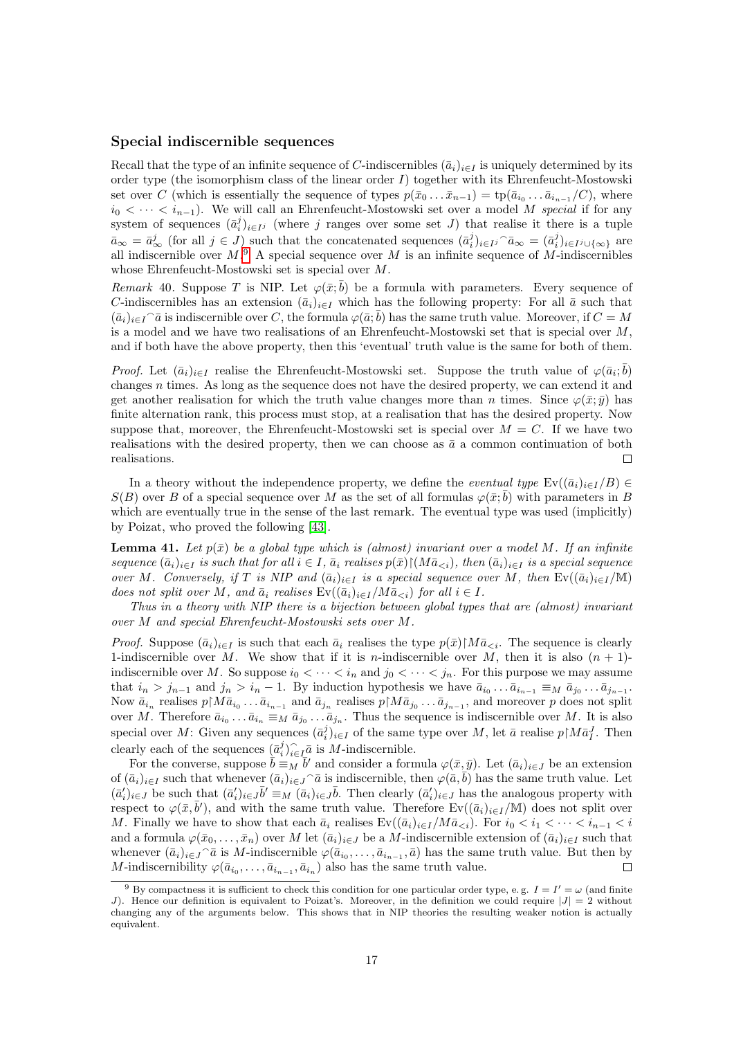#### Special indiscernible sequences

Recall that the type of an infinite sequence of C-indiscernibles  $(\bar{a}_i)_{i\in I}$  is uniquely determined by its order type (the isomorphism class of the linear order I) together with its Ehrenfeucht-Mostowski set over C (which is essentially the sequence of types  $p(\bar{x}_0 \dots \bar{x}_{n-1}) = \text{tp}(\bar{a}_{i_0} \dots \bar{a}_{i_{n-1}}/C)$ , where  $i_0 < \cdots < i_{n-1}$ ). We will call an Ehrenfeucht-Mostowski set over a model M special if for any system of sequences  $(\bar{a}_i^j)_{i\in I}$  (where j ranges over some set J) that realise it there is a tuple  $\bar{a}_{\infty} = \bar{a}_{\infty}^j$  (for all  $j \in J$ ) such that the concatenated sequences  $(\bar{a}_i^j)_{i \in I}$ ,  $\bar{a}_{\infty} = (\bar{a}_i^j)_{i \in I}$ , are all indiscernible over  $M$ .<sup>[9](#page-16-0)</sup> A special sequence over M is an infinite sequence of M-indiscernibles whose Ehrenfeucht-Mostowski set is special over M.

Remark 40. Suppose T is NIP. Let  $\varphi(\bar{x}; \bar{b})$  be a formula with parameters. Every sequence of C-indiscernibles has an extension  $(\bar{a}_i)_{i\in I}$  which has the following property: For all  $\bar{a}$  such that  $(\bar{a}_i)_{i\in I}$ <sup> $\cap$ </sup> $\bar{a}$  is indiscernible over C, the formula  $\varphi(\bar{a}; \bar{b})$  has the same truth value. Moreover, if  $C = M$ is a model and we have two realisations of an Ehrenfeucht-Mostowski set that is special over M, and if both have the above property, then this 'eventual' truth value is the same for both of them.

*Proof.* Let  $(\bar{a}_i)_{i\in I}$  realise the Ehrenfeucht-Mostowski set. Suppose the truth value of  $\varphi(\bar{a}_i;\bar{b})$ changes n times. As long as the sequence does not have the desired property, we can extend it and get another realisation for which the truth value changes more than n times. Since  $\varphi(\bar{x}; \bar{y})$  has finite alternation rank, this process must stop, at a realisation that has the desired property. Now suppose that, moreover, the Ehrenfeucht-Mostowski set is special over  $M = C$ . If we have two realisations with the desired property, then we can choose as  $\bar{a}$  a common continuation of both realisations.  $\Box$ 

In a theory without the independence property, we define the *eventual type*  $Ev((\bar{a}_i)_{i\in I}/B) \in$  $S(B)$  over B of a special sequence over M as the set of all formulas  $\varphi(\bar{x};\bar{b})$  with parameters in B which are eventually true in the sense of the last remark. The eventual type was used (implicitly) by Poizat, who proved the following [\[43\]](#page-22-3).

<span id="page-16-1"></span>**Lemma 41.** Let  $p(\bar{x})$  be a global type which is (almost) invariant over a model M. If an infinite sequence  $(\bar{a}_i)_{i\in I}$  is such that for all  $i \in I$ ,  $\bar{a}_i$  realises  $p(\bar{x})\upharpoonright (M\bar{a}_{\leq i})$ , then  $(\bar{a}_i)_{i\in I}$  is a special sequence over M. Conversely, if T is NIP and  $(\bar{a}_i)_{i\in I}$  is a special sequence over M, then  $Ev((\bar{a}_i)_{i\in I}/M)$ does not split over M, and  $\bar{a}_i$  realises  $Ev((\bar{a}_i)_{i\in I}/M\bar{a}_{\leq i})$  for all  $i \in I$ .

Thus in a theory with NIP there is a bijection between global types that are (almost) invariant over M and special Ehrenfeucht-Mostowski sets over M.

*Proof.* Suppose  $(\bar{a}_i)_{i\in I}$  is such that each  $\bar{a}_i$  realises the type  $p(\bar{x})\mid M\bar{a}_{\leq i}$ . The sequence is clearly 1-indiscernible over M. We show that if it is *n*-indiscernible over M, then it is also  $(n + 1)$ indiscernible over M. So suppose  $i_0 < \cdots < i_n$  and  $j_0 < \cdots < j_n$ . For this purpose we may assume that  $i_n > j_{n-1}$  and  $j_n > i_n - 1$ . By induction hypothesis we have  $\bar{a}_{i_0} \dots \bar{a}_{i_{n-1}} \equiv_M \bar{a}_{j_0} \dots \bar{a}_{j_{n-1}}$ . Now  $\bar{a}_{i_n}$  realises  $p \upharpoonright M \bar{a}_{i_0} \ldots \bar{a}_{i_{n-1}}$  and  $\bar{a}_{j_n}$  realises  $p \upharpoonright M \bar{a}_{j_0} \ldots \bar{a}_{j_{n-1}}$ , and moreover p does not split over M. Therefore  $\bar{a}_{i_0} \ldots \bar{a}_{i_n} \equiv_M \bar{a}_{j_0} \ldots \bar{a}_{j_n}$ . Thus the sequence is indiscernible over M. It is also special over M: Given any sequences  $(\bar{a}_i^j)_{i \in I}$  of the same type over M, let  $\bar{a}$  realise  $p \upharpoonright M \bar{a}_I^J$ . Then clearly each of the sequences  $\bigl(\bar a^j_i\bigr)_{i\in\mathbb N}^{\;\gamma}$  $\sum_{i\in I} \bar{a}$  is *M*-indiscernible.

For the converse, suppose  $\bar{b} = M \bar{b}'$  and consider a formula  $\varphi(\bar{x}, \bar{y})$ . Let  $(\bar{a}_i)_{i \in J}$  be an extension of  $(\bar{a}_i)_{i\in I}$  such that whenever  $(\bar{a}_i)_{i\in J}$  a is indiscernible, then  $\varphi(\bar{a}, \bar{b})$  has the same truth value. Let  $(\bar{a}'_i)_{i\in J}$  be such that  $(\bar{a}'_i)_{i\in J}$   $\bar{b}' \equiv_M (\bar{a}_i)_{i\in J}$   $\bar{b}$ . Then clearly  $(\bar{a}'_i)_{i\in J}$  has the analogous property with respect to  $\varphi(\bar{x}, \bar{b}')$ , and with the same truth value. Therefore Ev( $(\bar{a}_i)_{i\in I}/\mathbb{M}$ ) does not split over M. Finally we have to show that each  $\bar{a}_i$  realises  $Ev((\bar{a}_i)_{i\in I}/M\bar{a}_{. For  $i_0 < i_1 < \cdots < i_{n-1} < i$$ and a formula  $\varphi(\bar{x}_0,\ldots,\bar{x}_n)$  over M let  $(\bar{a}_i)_{i\in J}$  be a M-indiscernible extension of  $(\bar{a}_i)_{i\in I}$  such that whenever  $(\bar{a}_i)_{i\in\mathcal{J}}$ <sup> $\bar{a}$ </sup> is M-indiscernible  $\varphi(\bar{a}_{i_0},...,\bar{a}_{i_{n-1}},\bar{a})$  has the same truth value. But then by M-indiscernibility  $\varphi(\bar{a}_{i_0}, \ldots, \bar{a}_{i_{n-1}}, \bar{a}_{i_n})$  also has the same truth value.  $\Box$ 

<span id="page-16-0"></span><sup>&</sup>lt;sup>9</sup> By compactness it is sufficient to check this condition for one particular order type, e.g.  $I = I' = \omega$  (and finite J). Hence our definition is equivalent to Poizat's. Moreover, in the definition we could require  $|J| = 2$  without changing any of the arguments below. This shows that in NIP theories the resulting weaker notion is actually equivalent.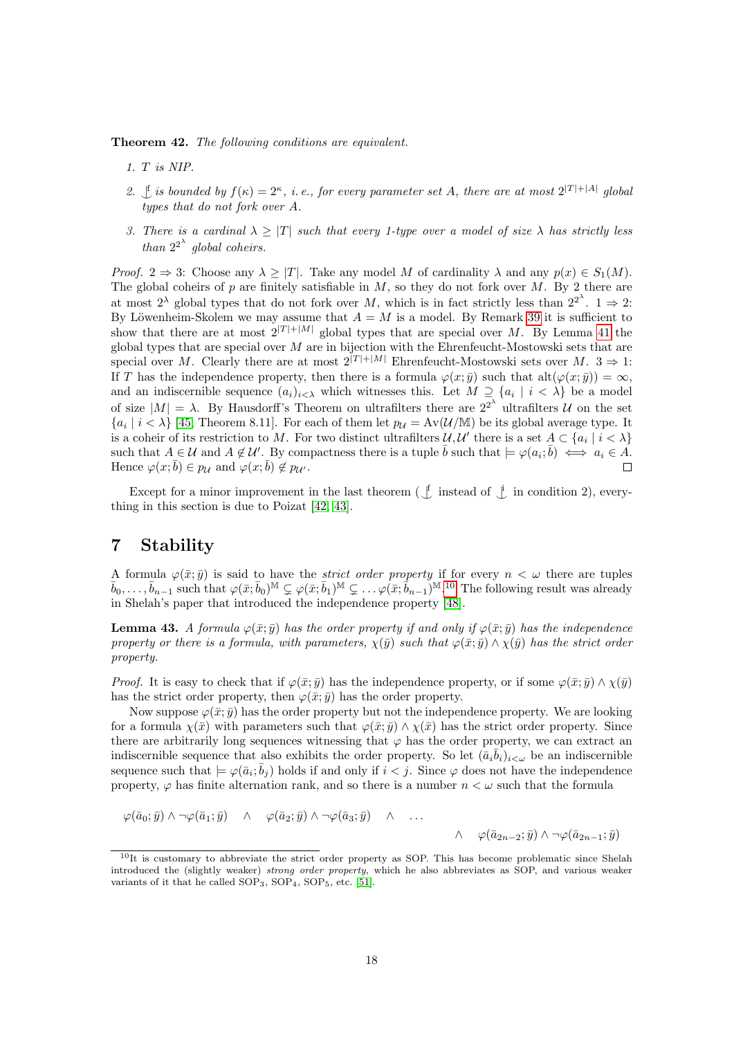Theorem 42. The following conditions are equivalent.

- 1. T is NIP.
- 2. If is bounded by  $f(\kappa) = 2^{\kappa}$ , i.e., for every parameter set A, there are at most  $2^{|T|+|A|}$  global types that do not fork over A.
- 3. There is a cardinal  $\lambda \geq |T|$  such that every 1-type over a model of size  $\lambda$  has strictly less than  $2^{2^{\lambda}}$  global coheirs.

*Proof.*  $2 \Rightarrow 3$ : Choose any  $\lambda \geq |T|$ . Take any model M of cardinality  $\lambda$  and any  $p(x) \in S_1(M)$ . The global coheirs of p are finitely satisfiable in  $M$ , so they do not fork over  $M$ . By 2 there are at most  $2^{\lambda}$  global types that do not fork over M, which is in fact strictly less than  $2^{2^{\lambda}}$ .  $1 \Rightarrow 2$ : By Löwenheim-Skolem we may assume that  $A = M$  is a model. By Remark [39](#page-15-3) it is sufficient to show that there are at most  $2^{|T|+|M|}$  global types that are special over M. By Lemma [41](#page-16-1) the global types that are special over  $M$  are in bijection with the Ehrenfeucht-Mostowski sets that are special over M. Clearly there are at most  $2^{|T|+|M|}$  Ehrenfeucht-Mostowski sets over M.  $3 \Rightarrow 1$ : If T has the independence property, then there is a formula  $\varphi(x;\bar{y})$  such that  $\text{alt}(\varphi(x;\bar{y})) = \infty$ , and an indiscernible sequence  $(a_i)_{i\leq \lambda}$  which witnesses this. Let  $M \supseteq \{a_i \mid i \leq \lambda\}$  be a model of size  $|M| = \lambda$ . By Hausdorff's Theorem on ultrafilters there are  $2^{2^{\lambda}}$  ultrafilters U on the set  ${a_i | i < \lambda}$  [\[45,](#page-22-4) Theorem 8.11]. For each of them let  $p_{\mathcal{U}} = Av(\mathcal{U}/M)$  be its global average type. It is a coheir of its restriction to M. For two distinct ultrafilters  $\mathcal{U}, \mathcal{U}'$  there is a set  $A \subset \{a_i \mid i < \lambda\}$ such that  $A \in \mathcal{U}$  and  $A \notin \mathcal{U}'$ . By compactness there is a tuple  $\overline{b}$  such that  $\models \varphi(a_i; \overline{b}) \iff a_i \in \overline{A}$ . Hence  $\varphi(x;\overline{b}) \in p_{\mathcal{U}}$  and  $\varphi(x;\overline{b}) \notin p_{\mathcal{U}}$ .

Except for a minor improvement in the last theorem ( $\downarrow$  instead of  $\downarrow$  in condition 2), everything in this section is due to Poizat [\[42,](#page-22-1) [43\]](#page-22-3).

# <span id="page-17-0"></span>7 Stability

A formula  $\varphi(\bar{x}; \bar{y})$  is said to have the *strict order property* if for every  $n < \omega$  there are tuples  $\bar{b}_0, \ldots, \bar{b}_{n-1}$  such that  $\varphi(\bar{x}; \bar{b}_0)^{\mathbb{M}} \subsetneq \varphi(\bar{x}; \bar{b}_1)^{\mathbb{M}} \subsetneq \ldots \varphi(\bar{x}; \bar{b}_{n-1})^{\mathbb{M}}$ .<sup>[10](#page-17-1)</sup> The following result was already in Shelah's paper that introduced the independence property [\[48\]](#page-22-0).

**Lemma 43.** A formula  $\varphi(\bar{x}; \bar{y})$  has the order property if and only if  $\varphi(\bar{x}; \bar{y})$  has the independence property or there is a formula, with parameters,  $\chi(\bar{y})$  such that  $\varphi(\bar{x}; \bar{y}) \wedge \chi(\bar{y})$  has the strict order property.

*Proof.* It is easy to check that if  $\varphi(\bar{x}; \bar{y})$  has the independence property, or if some  $\varphi(\bar{x}; \bar{y}) \wedge \chi(\bar{y})$ has the strict order property, then  $\varphi(\bar{x}; \bar{y})$  has the order property.

Now suppose  $\varphi(\bar{x}; \bar{y})$  has the order property but not the independence property. We are looking for a formula  $\chi(\bar{x})$  with parameters such that  $\varphi(\bar{x}; \bar{y}) \wedge \chi(\bar{x})$  has the strict order property. Since there are arbitrarily long sequences witnessing that  $\varphi$  has the order property, we can extract an indiscernible sequence that also exhibits the order property. So let  $(\bar{a}_i \bar{b}_i)_{i < \omega}$  be an indiscernible sequence such that  $\models \varphi(\bar{a}_i;\bar{b}_j)$  holds if and only if  $i < j$ . Since  $\varphi$  does not have the independence property,  $\varphi$  has finite alternation rank, and so there is a number  $n < \omega$  such that the formula

$$
\varphi(\bar{a}_0; \bar{y}) \wedge \neg \varphi(\bar{a}_1; \bar{y}) \wedge \varphi(\bar{a}_2; \bar{y}) \wedge \neg \varphi(\bar{a}_3; \bar{y}) \wedge \dots \wedge \varphi(\bar{a}_{2n-2}; \bar{y}) \wedge \neg \varphi(\bar{a}_{2n-1}; \bar{y})
$$

<span id="page-17-1"></span> $10$ It is customary to abbreviate the strict order property as SOP. This has become problematic since Shelah introduced the (slightly weaker) strong order property, which he also abbreviates as SOP, and various weaker variants of it that he called  $SOP_3$ ,  $SOP_4$ ,  $SOP_5$ , etc. [\[51\]](#page-22-12).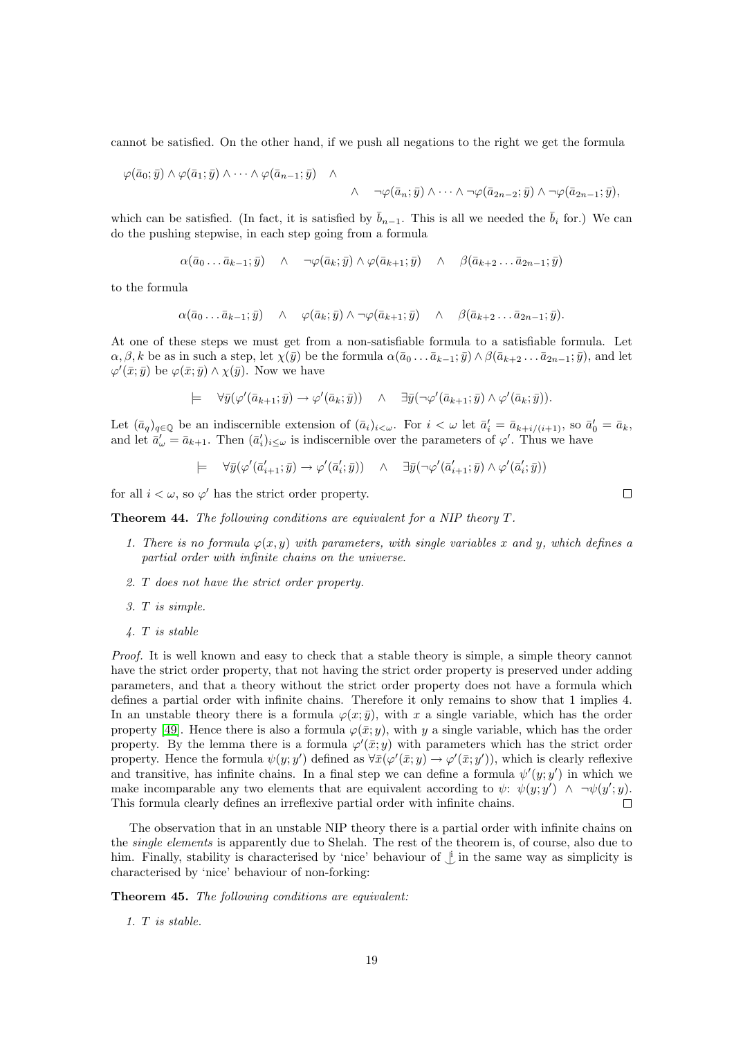cannot be satisfied. On the other hand, if we push all negations to the right we get the formula

$$
\varphi(\bar{a}_0;\bar{y})\wedge \varphi(\bar{a}_1;\bar{y})\wedge \cdots \wedge \varphi(\bar{a}_{n-1};\bar{y}) \wedge
$$

$$
\wedge \quad \neg \varphi(\bar{a}_n; \bar{y}) \wedge \cdots \wedge \neg \varphi(\bar{a}_{2n-2}; \bar{y}) \wedge \neg \varphi(\bar{a}_{2n-1}; \bar{y}),
$$

which can be satisfied. (In fact, it is satisfied by  $\bar{b}_{n-1}$ . This is all we needed the  $\bar{b}_i$  for.) We can do the pushing stepwise, in each step going from a formula

$$
\alpha(\bar{a}_0 \dots \bar{a}_{k-1}; \bar{y}) \quad \wedge \quad \neg \varphi(\bar{a}_k; \bar{y}) \wedge \varphi(\bar{a}_{k+1}; \bar{y}) \quad \wedge \quad \beta(\bar{a}_{k+2} \dots \bar{a}_{2n-1}; \bar{y})
$$

to the formula

$$
\alpha(\bar{a}_0 \dots \bar{a}_{k-1}; \bar{y}) \quad \wedge \quad \varphi(\bar{a}_k; \bar{y}) \wedge \neg \varphi(\bar{a}_{k+1}; \bar{y}) \quad \wedge \quad \beta(\bar{a}_{k+2} \dots \bar{a}_{2n-1}; \bar{y}).
$$

At one of these steps we must get from a non-satisfiable formula to a satisfiable formula. Let  $\alpha, \beta, k$  be as in such a step, let  $\chi(\bar{y})$  be the formula  $\alpha(\bar{a}_0 \dots \bar{a}_{k-1}; \bar{y}) \wedge \beta(\bar{a}_{k+2} \dots \bar{a}_{2n-1}; \bar{y})$ , and let  $\varphi'(\bar{x}; \bar{y})$  be  $\varphi(\bar{x}; \bar{y}) \wedge \chi(\bar{y})$ . Now we have

$$
\models \quad \forall \bar{y}(\varphi'(\bar{a}_{k+1};\bar{y}) \to \varphi'(\bar{a}_k;\bar{y})) \quad \wedge \quad \exists \bar{y}(\neg \varphi'(\bar{a}_{k+1};\bar{y}) \land \varphi'(\bar{a}_k;\bar{y})).
$$

Let  $(\bar{a}_q)_{q \in \mathbb{Q}}$  be an indiscernible extension of  $(\bar{a}_i)_{i \leq \omega}$ . For  $i < \omega$  let  $\bar{a}'_i = \bar{a}_{k+i/(i+1)}$ , so  $\bar{a}'_0 = \bar{a}_k$ , and let  $\bar{a}'_{\omega} = \bar{a}_{k+1}$ . Then  $(\bar{a}'_i)_{i \leq \omega}$  is indiscernible over the parameters of  $\varphi'$ . Thus we have

$$
\models \quad \forall \bar{y}(\varphi'(\bar{a}'_{i+1};\bar{y}) \to \varphi'(\bar{a}'_i;\bar{y})) \quad \land \quad \exists \bar{y}(\neg \varphi'(\bar{a}'_{i+1};\bar{y}) \land \varphi'(\bar{a}'_i;\bar{y}))
$$

for all  $i < \omega$ , so  $\varphi'$  has the strict order property.

Theorem 44. The following conditions are equivalent for a NIP theory T.

- 1. There is no formula  $\varphi(x, y)$  with parameters, with single variables x and y, which defines a partial order with infinite chains on the universe.
- 2. T does not have the strict order property.
- 3. T is simple.
- 4. T is stable

Proof. It is well known and easy to check that a stable theory is simple, a simple theory cannot have the strict order property, that not having the strict order property is preserved under adding parameters, and that a theory without the strict order property does not have a formula which defines a partial order with infinite chains. Therefore it only remains to show that 1 implies 4. In an unstable theory there is a formula  $\varphi(x; \bar{y})$ , with x a single variable, which has the order property [\[49\]](#page-22-6). Hence there is also a formula  $\varphi(\bar{x}; y)$ , with y a single variable, which has the order property. By the lemma there is a formula  $\varphi'(\bar{x}; y)$  with parameters which has the strict order property. Hence the formula  $\psi(y; y')$  defined as  $\forall \bar{x}(\varphi'(\bar{x}; y) \to \varphi'(\bar{x}; y'))$ , which is clearly reflexive and transitive, has infinite chains. In a final step we can define a formula  $\psi'(y; y')$  in which we make incomparable any two elements that are equivalent according to  $\psi: \psi(y; y') \wedge \neg \psi(y'; y)$ . This formula clearly defines an irreflexive partial order with infinite chains.  $\Box$ 

The observation that in an unstable NIP theory there is a partial order with infinite chains on the single elements is apparently due to Shelah. The rest of the theorem is, of course, also due to him. Finally, stability is characterised by 'nice' behaviour of  $\dot{\perp}$  in the same way as simplicity is characterised by 'nice' behaviour of non-forking:

Theorem 45. The following conditions are equivalent:

1. T is stable.

 $\Box$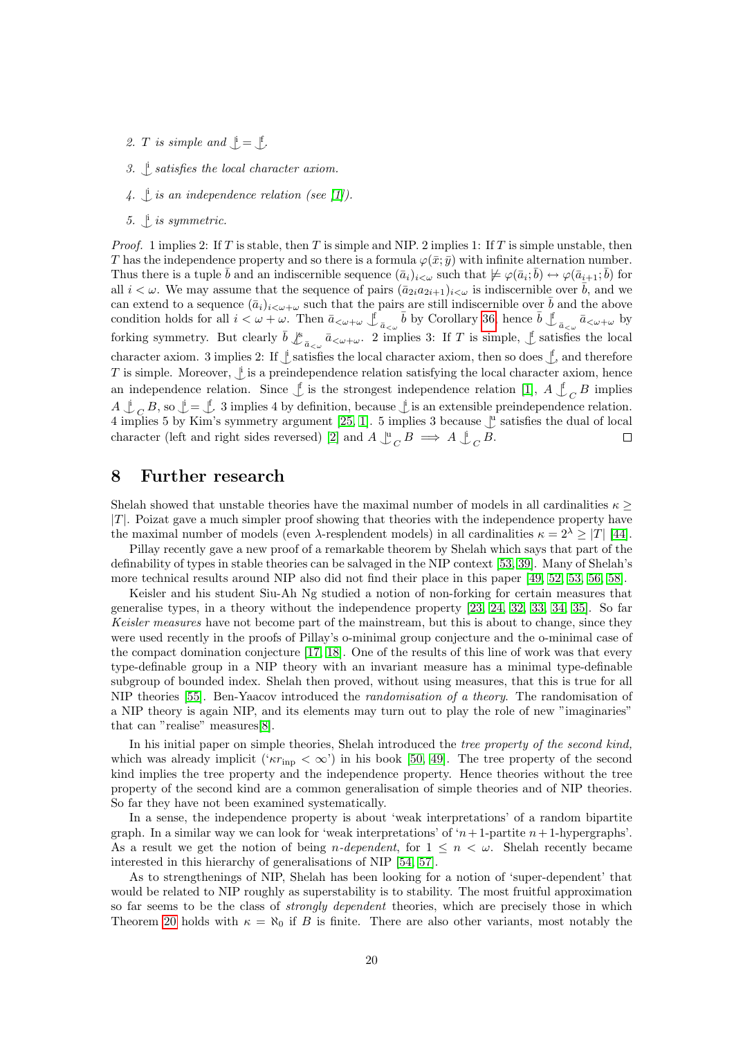- 2. *T* is simple and  $\mathcal{L} = \mathcal{L}$
- 3.  $\downarrow$  satisfies the local character axiom.
- 4.  $\downarrow$  is an independence relation (see [\[1\]](#page-20-3)).
- 5.  $\mathcal{L}$  is symmetric.

*Proof.* 1 implies 2: If T is stable, then T is simple and NIP. 2 implies 1: If T is simple unstable, then T has the independence property and so there is a formula  $\varphi(\bar{x}; \bar{y})$  with infinite alternation number. Thus there is a tuple  $\bar{b}$  and an indiscernible sequence  $(\bar{a}_i)_{i<\omega}$  such that  $\not\models \varphi(\bar{a}_i;\bar{b}) \leftrightarrow \varphi(\bar{a}_{i+1};\bar{b})$  for all  $i < \omega$ . We may assume that the sequence of pairs  $(\bar{a}_{2i}a_{2i+1})_{i<\omega}$  is indiscernible over  $\bar{b}$ , and we can extend to a sequence  $(\bar{a}_i)_{i\lt\omega+\omega}$  such that the pairs are still indiscernible over  $\bar{b}$  and the above condition holds for all  $i < \omega + \omega$ . Then  $\bar{a}_{\langle \omega + \omega \rangle} \oint_{\bar{a}_{\langle \omega \rangle}} \bar{b}$  by Corollary [36,](#page-14-11) hence  $\bar{b} \int_{\bar{a}_{\langle \omega \rangle}} \bar{a}_{\langle \omega + \omega \rangle}$  by forking symmetry. But clearly  $\bar{b} \nightharpoonup^s_{\bar{a} \ltimes \omega} \bar{a} \lt_{\omega+\omega}$ . 2 implies 3: If T is simple,  $\int$  satisfies the local character axiom. 3 implies 2: If  $\downarrow$  satisfies the local character axiom, then so does  $\downarrow$ , and therefore T is simple. Moreover,  $\mathcal{L}$  is a preindependence relation satisfying the local character axiom, hence an independence relation. Since  $\oint$  is the strongest independence relation [\[1\]](#page-20-3),  $A \nvert \int_C B$  implies  $A \perp_C B$ , so  $\perp = \perp$  3 implies 4 by definition, because  $\perp$  is an extensible preindependence relation. 4 implies 5 by Kim's symmetry argument [\[25,](#page-21-11) [1\]](#page-20-3). 5 implies 3 because  $\mathcal{L}^{\text{u}}$  satisfies the dual of local character (left and right sides reversed) [\[2\]](#page-20-4) and  $A \underset{C}{\cup}_{C} B \implies A \underset{C}{\cup}_{C} B$ .  $\Box$ 

## <span id="page-19-0"></span>8 Further research

Shelah showed that unstable theories have the maximal number of models in all cardinalities  $\kappa$  >  $|T|$ . Poizat gave a much simpler proof showing that theories with the independence property have the maximal number of models (even  $\lambda$ -resplendent models) in all cardinalities  $\kappa = 2^{\lambda} > |T|$  [\[44\]](#page-22-13).

Pillay recently gave a new proof of a remarkable theorem by Shelah which says that part of the definability of types in stable theories can be salvaged in the NIP context [\[53,](#page-22-5) [39\]](#page-22-14). Many of Shelah's more technical results around NIP also did not find their place in this paper [\[49,](#page-22-6) [52,](#page-22-7) [53,](#page-22-5) [56,](#page-23-1) [58\]](#page-23-2).

Keisler and his student Siu-Ah Ng studied a notion of non-forking for certain measures that generalise types, in a theory without the independence property [\[23,](#page-21-16) [24,](#page-21-17) [32,](#page-22-15) [33,](#page-22-16) [34,](#page-22-17) [35\]](#page-22-18). So far Keisler measures have not become part of the mainstream, but this is about to change, since they were used recently in the proofs of Pillay's o-minimal group conjecture and the o-minimal case of the compact domination conjecture [\[17,](#page-21-18) [18\]](#page-21-19). One of the results of this line of work was that every type-definable group in a NIP theory with an invariant measure has a minimal type-definable subgroup of bounded index. Shelah then proved, without using measures, that this is true for all NIP theories [\[55\]](#page-23-3). Ben-Yaacov introduced the randomisation of a theory. The randomisation of a NIP theory is again NIP, and its elements may turn out to play the role of new "imaginaries" that can "realise" measures[\[8\]](#page-21-20).

In his initial paper on simple theories, Shelah introduced the tree property of the second kind, which was already implicit (' $\kappa r_{\rm inp} < \infty$ ') in his book [\[50,](#page-22-2) [49\]](#page-22-6). The tree property of the second kind implies the tree property and the independence property. Hence theories without the tree property of the second kind are a common generalisation of simple theories and of NIP theories. So far they have not been examined systematically.

In a sense, the independence property is about 'weak interpretations' of a random bipartite graph. In a similar way we can look for 'weak interpretations' of  $n+1$ -partite  $n+1$ -hypergraphs'. As a result we get the notion of being *n*-dependent, for  $1 \leq n \leq \omega$ . Shelah recently became interested in this hierarchy of generalisations of NIP [\[54,](#page-22-19) [57\]](#page-23-4).

As to strengthenings of NIP, Shelah has been looking for a notion of 'super-dependent' that would be related to NIP roughly as superstability is to stability. The most fruitful approximation so far seems to be the class of *strongly dependent* theories, which are precisely those in which Theorem [20](#page-8-0) holds with  $\kappa = \aleph_0$  if B is finite. There are also other variants, most notably the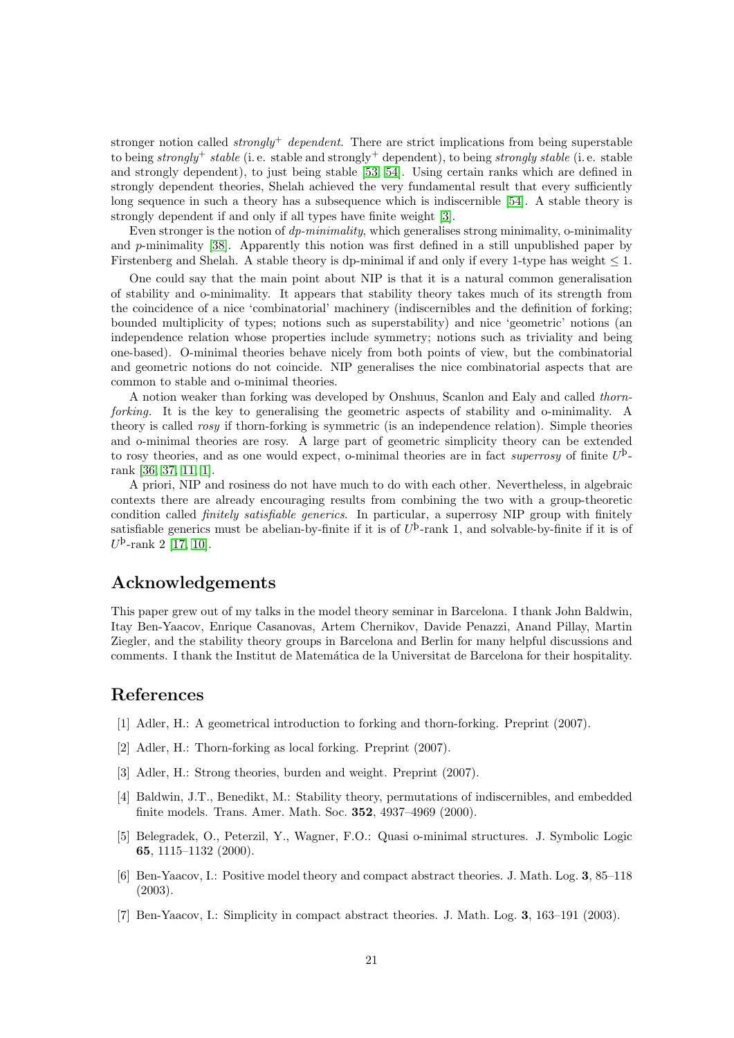stronger notion called *strongly*<sup>+</sup> dependent. There are strict implications from being superstable to being strongly<sup>+</sup> stable (i.e. stable and strongly<sup>+</sup> dependent), to being strongly stable (i.e. stable and strongly dependent), to just being stable [\[53,](#page-22-5) [54\]](#page-22-19). Using certain ranks which are defined in strongly dependent theories, Shelah achieved the very fundamental result that every sufficiently long sequence in such a theory has a subsequence which is indiscernible [\[54\]](#page-22-19). A stable theory is strongly dependent if and only if all types have finite weight [\[3\]](#page-20-6).

Even stronger is the notion of *dp-minimality*, which generalises strong minimality, o-minimality and p-minimality [\[38\]](#page-22-20). Apparently this notion was first defined in a still unpublished paper by Firstenberg and Shelah. A stable theory is dp-minimal if and only if every 1-type has weight  $\leq 1$ .

One could say that the main point about NIP is that it is a natural common generalisation of stability and o-minimality. It appears that stability theory takes much of its strength from the coincidence of a nice 'combinatorial' machinery (indiscernibles and the definition of forking; bounded multiplicity of types; notions such as superstability) and nice 'geometric' notions (an independence relation whose properties include symmetry; notions such as triviality and being one-based). O-minimal theories behave nicely from both points of view, but the combinatorial and geometric notions do not coincide. NIP generalises the nice combinatorial aspects that are common to stable and o-minimal theories.

A notion weaker than forking was developed by Onshuus, Scanlon and Ealy and called thornforking. It is the key to generalising the geometric aspects of stability and o-minimality. A theory is called rosy if thorn-forking is symmetric (is an independence relation). Simple theories and o-minimal theories are rosy. A large part of geometric simplicity theory can be extended to rosy theories, and as one would expect, o-minimal theories are in fact superrosy of finite  $U^{\flat}$ rank [\[36,](#page-22-21) [37,](#page-22-22) [11,](#page-21-21) [1\]](#page-20-3).

A priori, NIP and rosiness do not have much to do with each other. Nevertheless, in algebraic contexts there are already encouraging results from combining the two with a group-theoretic condition called finitely satisfiable generics. In particular, a superrosy NIP group with finitely satisfiable generics must be abelian-by-finite if it is of  $U^{\flat}$ -rank 1, and solvable-by-finite if it is of  $U^{\rm b}$ -rank 2 [\[17,](#page-21-18) [10\]](#page-21-22).

## Acknowledgements

This paper grew out of my talks in the model theory seminar in Barcelona. I thank John Baldwin, Itay Ben-Yaacov, Enrique Casanovas, Artem Chernikov, Davide Penazzi, Anand Pillay, Martin Ziegler, and the stability theory groups in Barcelona and Berlin for many helpful discussions and comments. I thank the Institut de Matem´atica de la Universitat de Barcelona for their hospitality.

# References

- <span id="page-20-3"></span>[1] Adler, H.: A geometrical introduction to forking and thorn-forking. Preprint (2007).
- <span id="page-20-4"></span>[2] Adler, H.: Thorn-forking as local forking. Preprint (2007).
- <span id="page-20-6"></span>[3] Adler, H.: Strong theories, burden and weight. Preprint (2007).
- <span id="page-20-0"></span>[4] Baldwin, J.T., Benedikt, M.: Stability theory, permutations of indiscernibles, and embedded finite models. Trans. Amer. Math. Soc. 352, 4937–4969 (2000).
- <span id="page-20-2"></span>[5] Belegradek, O., Peterzil, Y., Wagner, F.O.: Quasi o-minimal structures. J. Symbolic Logic 65, 1115–1132 (2000).
- <span id="page-20-1"></span>[6] Ben-Yaacov, I.: Positive model theory and compact abstract theories. J. Math. Log. 3, 85–118 (2003).
- <span id="page-20-5"></span>[7] Ben-Yaacov, I.: Simplicity in compact abstract theories. J. Math. Log. 3, 163–191 (2003).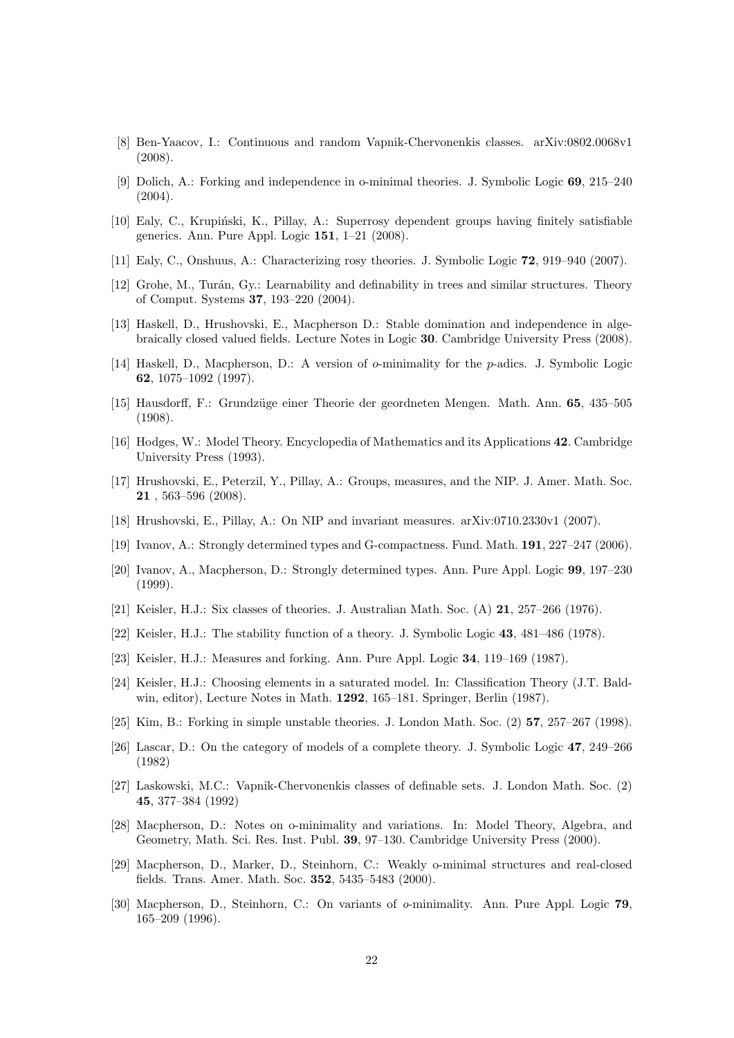- <span id="page-21-20"></span>[8] Ben-Yaacov, I.: Continuous and random Vapnik-Chervonenkis classes. arXiv:0802.0068v1 (2008).
- <span id="page-21-13"></span>[9] Dolich, A.: Forking and independence in o-minimal theories. J. Symbolic Logic 69, 215–240  $(2004).$
- <span id="page-21-22"></span>[10] Ealy, C., Krupiński, K., Pillay, A.: Superrosy dependent groups having finitely satisfiable generics. Ann. Pure Appl. Logic 151, 1–21 (2008).
- <span id="page-21-21"></span>[11] Ealy, C., Onshuus, A.: Characterizing rosy theories. J. Symbolic Logic 72, 919–940 (2007).
- <span id="page-21-1"></span>[12] Grohe, M., Tur´an, Gy.: Learnability and definability in trees and similar structures. Theory of Comput. Systems 37, 193–220 (2004).
- <span id="page-21-6"></span>[13] Haskell, D., Hrushovski, E., Macpherson D.: Stable domination and independence in algebraically closed valued fields. Lecture Notes in Logic 30. Cambridge University Press (2008).
- <span id="page-21-3"></span>[14] Haskell, D., Macpherson, D.: A version of o-minimality for the p-adics. J. Symbolic Logic 62, 1075–1092 (1997).
- <span id="page-21-7"></span>[15] Hausdorff, F.: Grundz¨uge einer Theorie der geordneten Mengen. Math. Ann. 65, 435–505 (1908).
- <span id="page-21-8"></span>[16] Hodges, W.: Model Theory. Encyclopedia of Mathematics and its Applications 42. Cambridge University Press (1993).
- <span id="page-21-18"></span>[17] Hrushovski, E., Peterzil, Y., Pillay, A.: Groups, measures, and the NIP. J. Amer. Math. Soc. 21 , 563–596 (2008).
- <span id="page-21-19"></span>[18] Hrushovski, E., Pillay, A.: On NIP and invariant measures. arXiv:0710.2330v1 (2007).
- <span id="page-21-15"></span>[19] Ivanov, A.: Strongly determined types and G-compactness. Fund. Math. 191, 227–247 (2006).
- <span id="page-21-14"></span>[20] Ivanov, A., Macpherson, D.: Strongly determined types. Ann. Pure Appl. Logic 99, 197–230 (1999).
- <span id="page-21-10"></span>[21] Keisler, H.J.: Six classes of theories. J. Australian Math. Soc. (A) 21, 257–266 (1976).
- <span id="page-21-9"></span>[22] Keisler, H.J.: The stability function of a theory. J. Symbolic Logic 43, 481–486 (1978).
- <span id="page-21-16"></span>[23] Keisler, H.J.: Measures and forking. Ann. Pure Appl. Logic 34, 119–169 (1987).
- <span id="page-21-17"></span>[24] Keisler, H.J.: Choosing elements in a saturated model. In: Classification Theory (J.T. Baldwin, editor), Lecture Notes in Math. 1292, 165–181. Springer, Berlin (1987).
- <span id="page-21-11"></span>[25] Kim, B.: Forking in simple unstable theories. J. London Math. Soc. (2) 57, 257–267 (1998).
- <span id="page-21-12"></span>[26] Lascar, D.: On the category of models of a complete theory. J. Symbolic Logic 47, 249–266 (1982)
- <span id="page-21-0"></span>[27] Laskowski, M.C.: Vapnik-Chervonenkis classes of definable sets. J. London Math. Soc. (2) 45, 377–384 (1992)
- <span id="page-21-4"></span>[28] Macpherson, D.: Notes on o-minimality and variations. In: Model Theory, Algebra, and Geometry, Math. Sci. Res. Inst. Publ. 39, 97–130. Cambridge University Press (2000).
- <span id="page-21-5"></span>[29] Macpherson, D., Marker, D., Steinhorn, C.: Weakly o-minimal structures and real-closed fields. Trans. Amer. Math. Soc. 352, 5435–5483 (2000).
- <span id="page-21-2"></span>[30] Macpherson, D., Steinhorn, C.: On variants of o-minimality. Ann. Pure Appl. Logic 79, 165–209 (1996).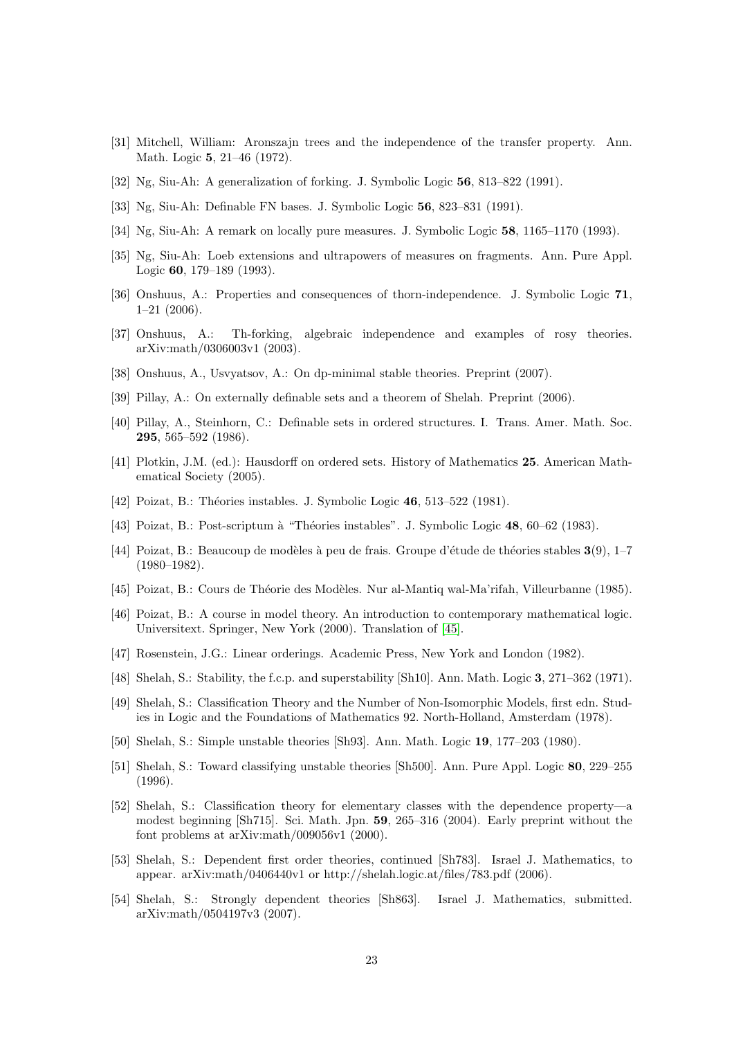- <span id="page-22-11"></span>[31] Mitchell, William: Aronszajn trees and the independence of the transfer property. Ann. Math. Logic 5, 21–46 (1972).
- <span id="page-22-15"></span>[32] Ng, Siu-Ah: A generalization of forking. J. Symbolic Logic 56, 813–822 (1991).
- <span id="page-22-16"></span>[33] Ng, Siu-Ah: Definable FN bases. J. Symbolic Logic 56, 823–831 (1991).
- <span id="page-22-17"></span>[34] Ng, Siu-Ah: A remark on locally pure measures. J. Symbolic Logic 58, 1165–1170 (1993).
- <span id="page-22-18"></span>[35] Ng, Siu-Ah: Loeb extensions and ultrapowers of measures on fragments. Ann. Pure Appl. Logic 60, 179–189 (1993).
- <span id="page-22-21"></span>[36] Onshuus, A.: Properties and consequences of thorn-independence. J. Symbolic Logic 71, 1–21 (2006).
- <span id="page-22-22"></span>[37] Onshuus, A.: Th-forking, algebraic independence and examples of rosy theories. arXiv:math/0306003v1 (2003).
- <span id="page-22-20"></span>[38] Onshuus, A., Usvyatsov, A.: On dp-minimal stable theories. Preprint (2007).
- <span id="page-22-14"></span>[39] Pillay, A.: On externally definable sets and a theorem of Shelah. Preprint (2006).
- <span id="page-22-8"></span>[40] Pillay, A., Steinhorn, C.: Definable sets in ordered structures. I. Trans. Amer. Math. Soc. 295, 565–592 (1986).
- <span id="page-22-9"></span>[41] Plotkin, J.M. (ed.): Hausdorff on ordered sets. History of Mathematics 25. American Mathematical Society (2005).
- <span id="page-22-1"></span>[42] Poizat, B.: Théories instables. J. Symbolic Logic 46, 513–522 (1981).
- <span id="page-22-3"></span>[43] Poizat, B.: Post-scriptum à "Théories instables". J. Symbolic Logic 48, 60–62 (1983).
- <span id="page-22-13"></span>[44] Poizat, B.: Beaucoup de modèles à peu de frais. Groupe d'étude de théories stables  $3(9)$ , 1–7  $(1980-1982)$ .
- <span id="page-22-4"></span>[45] Poizat, B.: Cours de Théorie des Modèles. Nur al-Mantiq wal-Ma'rifah, Villeurbanne (1985).
- [46] Poizat, B.: A course in model theory. An introduction to contemporary mathematical logic. Universitext. Springer, New York (2000). Translation of [\[45\]](#page-22-4).
- <span id="page-22-10"></span>[47] Rosenstein, J.G.: Linear orderings. Academic Press, New York and London (1982).
- <span id="page-22-0"></span>[48] Shelah, S.: Stability, the f.c.p. and superstability [Sh10]. Ann. Math. Logic 3, 271–362 (1971).
- <span id="page-22-6"></span>[49] Shelah, S.: Classification Theory and the Number of Non-Isomorphic Models, first edn. Studies in Logic and the Foundations of Mathematics 92. North-Holland, Amsterdam (1978).
- <span id="page-22-2"></span>[50] Shelah, S.: Simple unstable theories [Sh93]. Ann. Math. Logic 19, 177–203 (1980).
- <span id="page-22-12"></span>[51] Shelah, S.: Toward classifying unstable theories [Sh500]. Ann. Pure Appl. Logic 80, 229–255 (1996).
- <span id="page-22-7"></span>[52] Shelah, S.: Classification theory for elementary classes with the dependence property—a modest beginning [Sh715]. Sci. Math. Jpn. 59, 265–316 (2004). Early preprint without the font problems at arXiv:math/009056v1 (2000).
- <span id="page-22-5"></span>[53] Shelah, S.: Dependent first order theories, continued [Sh783]. Israel J. Mathematics, to appear. arXiv:math/0406440v1 or http://shelah.logic.at/files/783.pdf (2006).
- <span id="page-22-19"></span>[54] Shelah, S.: Strongly dependent theories [Sh863]. Israel J. Mathematics, submitted. arXiv:math/0504197v3 (2007).